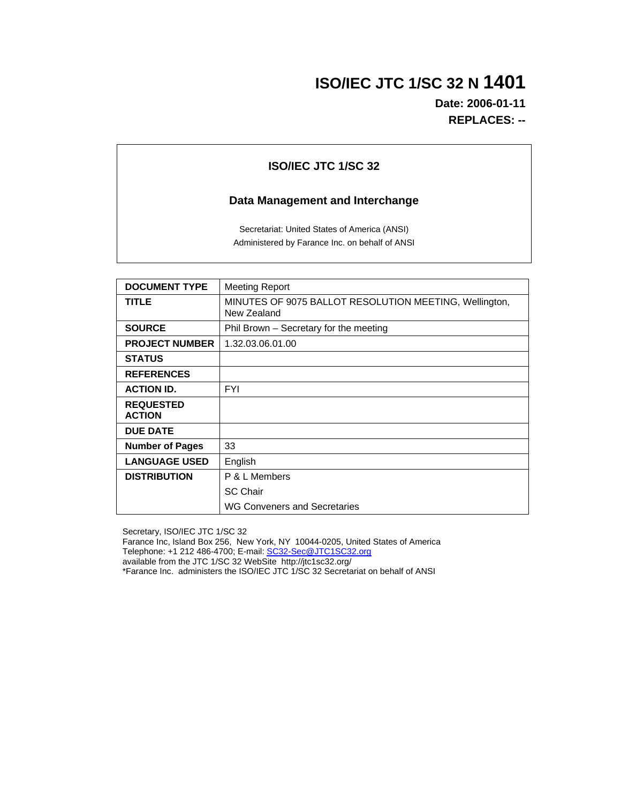# **ISO/IEC JTC 1/SC 32 N 1401**

**Date: 2006-01-11 REPLACES: --**

## **ISO/IEC JTC 1/SC 32**

## **Data Management and Interchange**

Secretariat: United States of America (ANSI) Administered by Farance Inc. on behalf of ANSI

| <b>DOCUMENT TYPE</b>              | <b>Meeting Report</b>                                                 |
|-----------------------------------|-----------------------------------------------------------------------|
| <b>TITLE</b>                      | MINUTES OF 9075 BALLOT RESOLUTION MEETING, Wellington,<br>New Zealand |
| <b>SOURCE</b>                     | Phil Brown – Secretary for the meeting                                |
| <b>PROJECT NUMBER</b>             | 1.32.03.06.01.00                                                      |
| <b>STATUS</b>                     |                                                                       |
| <b>REFERENCES</b>                 |                                                                       |
| <b>ACTION ID.</b>                 | <b>FYI</b>                                                            |
| <b>REQUESTED</b><br><b>ACTION</b> |                                                                       |
| <b>DUE DATE</b>                   |                                                                       |
| <b>Number of Pages</b>            | 33                                                                    |
| <b>LANGUAGE USED</b>              | English                                                               |
| <b>DISTRIBUTION</b>               | P & L Members                                                         |
|                                   | <b>SC Chair</b>                                                       |
|                                   | <b>WG Conveners and Secretaries</b>                                   |

Secretary, ISO/IEC JTC 1/SC 32

Farance Inc, Island Box 256, New York, NY 10044-0205, United States of America Telephone: +1 212 486-4700; E-mail: <u>SC32-Sec@JTC1SC32.org</u>

available from the JTC 1/SC 32 WebSite http://jtc1sc32.org/

\*Farance Inc. administers the ISO/IEC JTC 1/SC 32 Secretariat on behalf of ANSI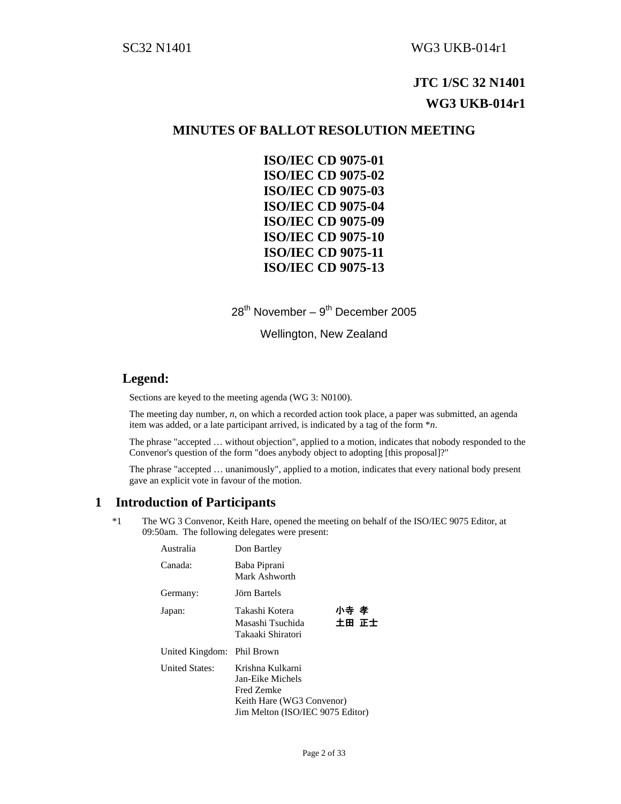# **JTC 1/SC 32 N1401 WG3 UKB-014r1**

## **MINUTES OF BALLOT RESOLUTION MEETING**

**ISO/IEC CD 9075-01 ISO/IEC CD 9075-02 ISO/IEC CD 9075-03 ISO/IEC CD 9075-04 ISO/IEC CD 9075-09 ISO/IEC CD 9075-10 ISO/IEC CD 9075-11 ISO/IEC CD 9075-13** 

 $28^{th}$  November –  $9^{th}$  December 2005

Wellington, New Zealand

## **Legend:**

Sections are keyed to the meeting agenda (WG 3: N0100).

The meeting day number, *n*, on which a recorded action took place, a paper was submitted, an agenda item was added, or a late participant arrived, is indicated by a tag of the form \**n*.

The phrase "accepted … without objection", applied to a motion, indicates that nobody responded to the Convenor's question of the form "does anybody object to adopting [this proposal]?"

The phrase "accepted … unanimously", applied to a motion, indicates that every national body present gave an explicit vote in favour of the motion.

## **1 Introduction of Participants**

\*1 The WG 3 Convenor, Keith Hare, opened the meeting on behalf of the ISO/IEC 9075 Editor, at 09:50am. The following delegates were present:

| Australia                  | Don Bartley                                                                                                         |               |
|----------------------------|---------------------------------------------------------------------------------------------------------------------|---------------|
| Canada:                    | Baba Piprani<br>Mark Ashworth                                                                                       |               |
| Germany:                   | Jörn Bartels                                                                                                        |               |
| Japan:                     | Takashi Kotera<br>Masashi Tsuchida<br>Takaaki Shiratori                                                             | 小寺 孝<br>土田 正士 |
| United Kingdom: Phil Brown |                                                                                                                     |               |
| United States:             | Krishna Kulkarni<br>Jan-Eike Michels<br>Fred Zemke<br>Keith Hare (WG3 Convenor)<br>Jim Melton (ISO/IEC 9075 Editor) |               |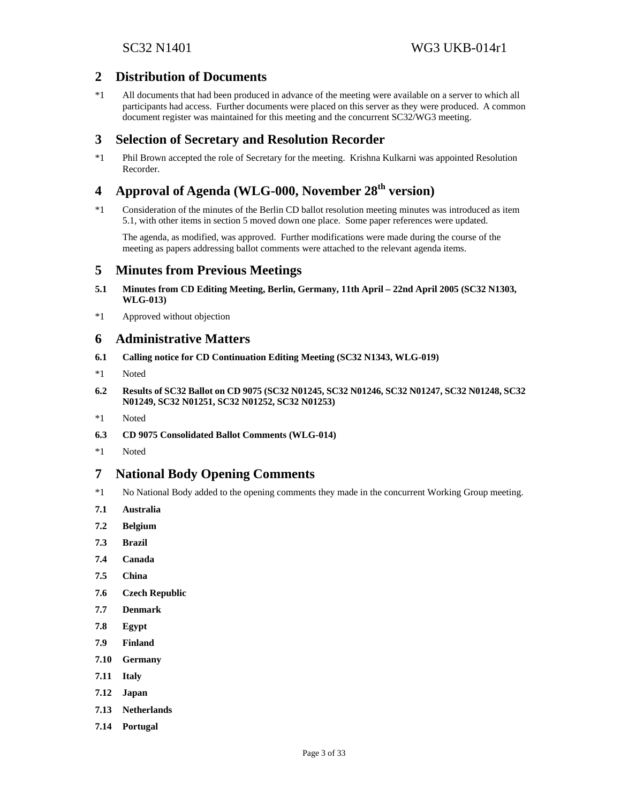## **2 Distribution of Documents**

\*1 All documents that had been produced in advance of the meeting were available on a server to which all participants had access. Further documents were placed on this server as they were produced. A common document register was maintained for this meeting and the concurrent SC32/WG3 meeting.

## **3 Selection of Secretary and Resolution Recorder**

\*1 Phil Brown accepted the role of Secretary for the meeting. Krishna Kulkarni was appointed Resolution Recorder.

# **4 Approval of Agenda (WLG-000, November 28th version)**

\*1 Consideration of the minutes of the Berlin CD ballot resolution meeting minutes was introduced as item 5.1, with other items in section 5 moved down one place. Some paper references were updated.

The agenda, as modified, was approved. Further modifications were made during the course of the meeting as papers addressing ballot comments were attached to the relevant agenda items.

## **5 Minutes from Previous Meetings**

- **5.1 Minutes from CD Editing Meeting, Berlin, Germany, 11th April 22nd April 2005 (SC32 N1303, WLG-013)**
- \*1 Approved without objection

## **6 Administrative Matters**

- **6.1 Calling notice for CD Continuation Editing Meeting (SC32 N1343, WLG-019)**
- \*1 Noted
- **6.2 Results of SC32 Ballot on CD 9075 (SC32 N01245, SC32 N01246, SC32 N01247, SC32 N01248, SC32 N01249, SC32 N01251, SC32 N01252, SC32 N01253)**
- \*1 Noted
- **6.3 CD 9075 Consolidated Ballot Comments (WLG-014)**
- \*1 Noted

## **7 National Body Opening Comments**

- \*1 No National Body added to the opening comments they made in the concurrent Working Group meeting.
- **7.1 Australia**
- **7.2 Belgium**
- **7.3 Brazil**
- **7.4 Canada**
- **7.5 China**
- **7.6 Czech Republic**
- **7.7 Denmark**
- **7.8 Egypt**
- **7.9 Finland**
- **7.10 Germany**
- **7.11 Italy**
- **7.12 Japan**
- **7.13 Netherlands**
- **7.14 Portugal**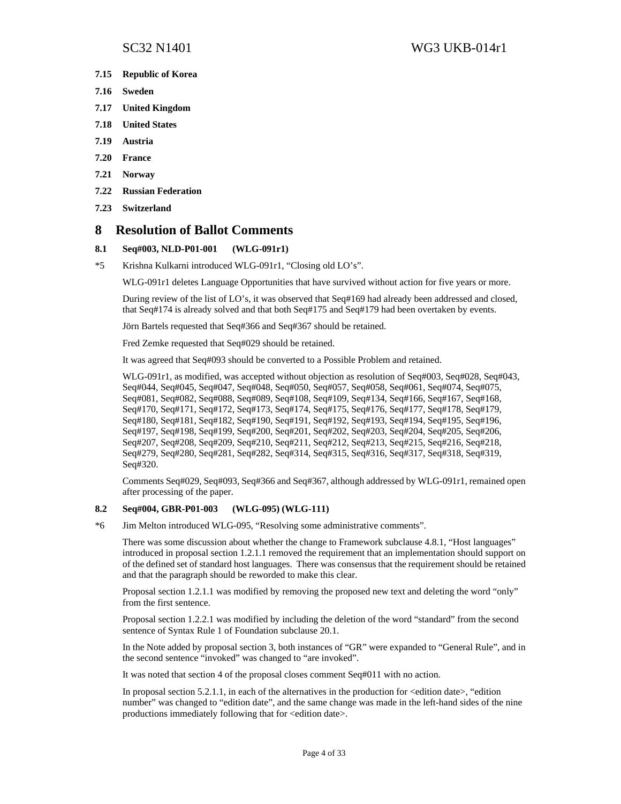- **7.15 Republic of Korea**
- **7.16 Sweden**
- **7.17 United Kingdom**
- **7.18 United States**
- **7.19 Austria**
- **7.20 France**
- **7.21 Norway**
- **7.22 Russian Federation**
- **7.23 Switzerland**

## **8 Resolution of Ballot Comments**

### **8.1 Seq#003, NLD-P01-001 (WLG-091r1)**

\*5 Krishna Kulkarni introduced WLG-091r1, "Closing old LO's".

WLG-091r1 deletes Language Opportunities that have survived without action for five years or more.

During review of the list of LO's, it was observed that Seq#169 had already been addressed and closed, that Seq#174 is already solved and that both Seq#175 and Seq#179 had been overtaken by events.

Jörn Bartels requested that Seq#366 and Seq#367 should be retained.

Fred Zemke requested that Seq#029 should be retained.

It was agreed that Seq#093 should be converted to a Possible Problem and retained.

WLG-091r1, as modified, was accepted without objection as resolution of Seq#003, Seq#028, Seq#043, Seq#044, Seq#045, Seq#047, Seq#048, Seq#050, Seq#057, Seq#058, Seq#061, Seq#074, Seq#075, Seq#081, Seq#082, Seq#088, Seq#089, Seq#108, Seq#109, Seq#134, Seq#166, Seq#167, Seq#168, Seq#170, Seq#171, Seq#172, Seq#173, Seq#174, Seq#175, Seq#176, Seq#177, Seq#178, Seq#179, Seq#180, Seq#181, Seq#182, Seq#190, Seq#191, Seq#192, Seq#193, Seq#194, Seq#195, Seq#196, Seq#197, Seq#198, Seq#199, Seq#200, Seq#201, Seq#202, Seq#203, Seq#204, Seq#205, Seq#206, Seq#207, Seq#208, Seq#209, Seq#210, Seq#211, Seq#212, Seq#213, Seq#215, Seq#216, Seq#218, Seq#279, Seq#280, Seq#281, Seq#282, Seq#314, Seq#315, Seq#316, Seq#317, Seq#318, Seq#319, Seq#320.

Comments Seq#029, Seq#093, Seq#366 and Seq#367, although addressed by WLG-091r1, remained open after processing of the paper.

### **8.2 Seq#004, GBR-P01-003 (WLG-095) (WLG-111)**

\*6 Jim Melton introduced WLG-095, "Resolving some administrative comments".

There was some discussion about whether the change to Framework subclause 4.8.1, "Host languages" introduced in proposal section 1.2.1.1 removed the requirement that an implementation should support on of the defined set of standard host languages. There was consensus that the requirement should be retained and that the paragraph should be reworded to make this clear.

Proposal section 1.2.1.1 was modified by removing the proposed new text and deleting the word "only" from the first sentence.

Proposal section 1.2.2.1 was modified by including the deletion of the word "standard" from the second sentence of Syntax Rule 1 of Foundation subclause 20.1.

In the Note added by proposal section 3, both instances of "GR" were expanded to "General Rule", and in the second sentence "invoked" was changed to "are invoked".

It was noted that section 4 of the proposal closes comment Seq#011 with no action.

In proposal section  $5.2.1.1$ , in each of the alternatives in the production for  $\leq$  edition date $\geq$ , "edition number" was changed to "edition date", and the same change was made in the left-hand sides of the nine productions immediately following that for <edition date>.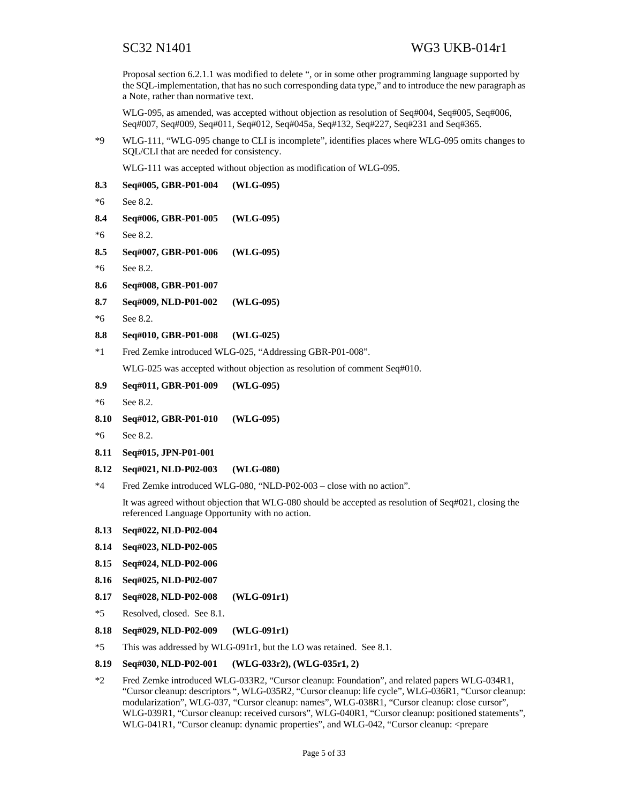Proposal section 6.2.1.1 was modified to delete ", or in some other programming language supported by the SQL-implementation, that has no such corresponding data type," and to introduce the new paragraph as a Note, rather than normative text.

WLG-095, as amended, was accepted without objection as resolution of Seq#004, Seq#005, Seq#006, Seq#007, Seq#009, Seq#011, Seq#012, Seq#045a, Seq#132, Seq#227, Seq#231 and Seq#365.

\*9 WLG-111, "WLG-095 change to CLI is incomplete", identifies places where WLG-095 omits changes to SQL/CLI that are needed for consistency.

WLG-111 was accepted without objection as modification of WLG-095.

- **8.3 Seq#005, GBR-P01-004 (WLG-095)**  \*6 See 8.2. **8.4 Seq#006, GBR-P01-005 (WLG-095)**  \*6 See 8.2. **8.5 Seq#007, GBR-P01-006 (WLG-095)**  \*6 See 8.2. **8.6 Seq#008, GBR-P01-007 8.7 Seq#009, NLD-P01-002 (WLG-095)**  \*6 See 8.2. **8.8 Seq#010, GBR-P01-008 (WLG-025)**  \*1 Fred Zemke introduced WLG-025, "Addressing GBR-P01-008". WLG-025 was accepted without objection as resolution of comment Seq#010. **8.9 Seq#011, GBR-P01-009 (WLG-095)**  \*6 See 8.2. **8.10 Seq#012, GBR-P01-010 (WLG-095)**  \*6 See 8.2. **8.11 Seq#015, JPN-P01-001 8.12 Seq#021, NLD-P02-003 (WLG-080)**  \*4 Fred Zemke introduced WLG-080, "NLD-P02-003 – close with no action". It was agreed without objection that WLG-080 should be accepted as resolution of Seq#021, closing the referenced Language Opportunity with no action. **8.13 Seq#022, NLD-P02-004 8.14 Seq#023, NLD-P02-005 8.15 Seq#024, NLD-P02-006 8.16 Seq#025, NLD-P02-007 8.17 Seq#028, NLD-P02-008 (WLG-091r1)**
- \*5 Resolved, closed. See 8.1.
- **8.18 Seq#029, NLD-P02-009 (WLG-091r1)**
- \*5 This was addressed by WLG-091r1, but the LO was retained. See 8.1.

#### **8.19 Seq#030, NLD-P02-001 (WLG-033r2), (WLG-035r1, 2)**

\*2 Fred Zemke introduced WLG-033R2, "Cursor cleanup: Foundation", and related papers WLG-034R1, "Cursor cleanup: descriptors ", WLG-035R2, "Cursor cleanup: life cycle", WLG-036R1, "Cursor cleanup: modularization", WLG-037, "Cursor cleanup: names", WLG-038R1, "Cursor cleanup: close cursor", WLG-039R1, "Cursor cleanup: received cursors", WLG-040R1, "Cursor cleanup: positioned statements", WLG-041R1, "Cursor cleanup: dynamic properties", and WLG-042, "Cursor cleanup: <prepare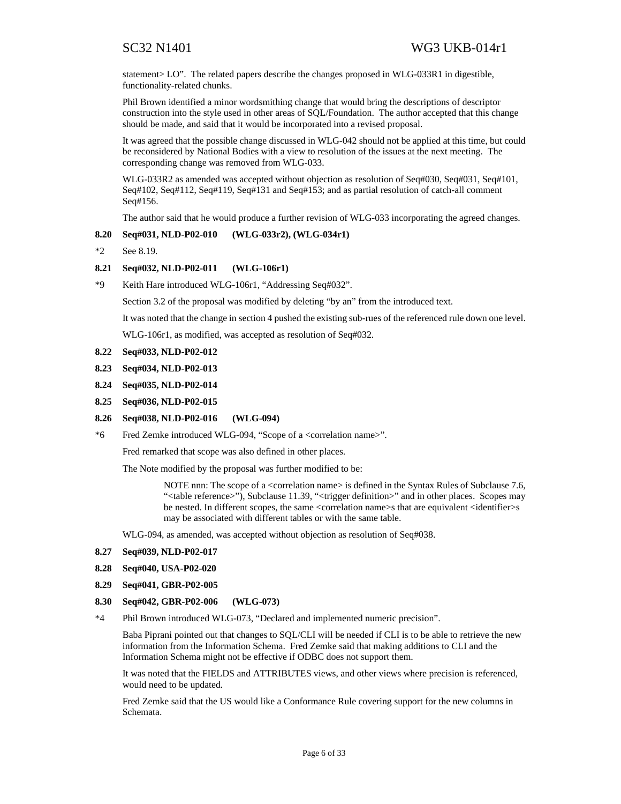statement > LO". The related papers describe the changes proposed in WLG-033R1 in digestible, functionality-related chunks.

Phil Brown identified a minor wordsmithing change that would bring the descriptions of descriptor construction into the style used in other areas of SQL/Foundation. The author accepted that this change should be made, and said that it would be incorporated into a revised proposal.

It was agreed that the possible change discussed in WLG-042 should not be applied at this time, but could be reconsidered by National Bodies with a view to resolution of the issues at the next meeting. The corresponding change was removed from WLG-033.

WLG-033R2 as amended was accepted without objection as resolution of Seq#030, Seq#031, Seq#101, Seq#102, Seq#112, Seq#119, Seq#131 and Seq#153; and as partial resolution of catch-all comment Seq#156.

The author said that he would produce a further revision of WLG-033 incorporating the agreed changes.

### **8.20 Seq#031, NLD-P02-010 (WLG-033r2), (WLG-034r1)**

\*2 See 8.19.

### **8.21 Seq#032, NLD-P02-011 (WLG-106r1)**

\*9 Keith Hare introduced WLG-106r1, "Addressing Seq#032".

Section 3.2 of the proposal was modified by deleting "by an" from the introduced text.

It was noted that the change in section 4 pushed the existing sub-rues of the referenced rule down one level.

WLG-106r1, as modified, was accepted as resolution of Seq#032.

### **8.22 Seq#033, NLD-P02-012**

- **8.23 Seq#034, NLD-P02-013**
- **8.24 Seq#035, NLD-P02-014**
- **8.25 Seq#036, NLD-P02-015**

#### **8.26 Seq#038, NLD-P02-016 (WLG-094)**

\*6 Fred Zemke introduced WLG-094, "Scope of a <correlation name>".

Fred remarked that scope was also defined in other places.

The Note modified by the proposal was further modified to be:

NOTE nnn: The scope of a <correlation name> is defined in the Syntax Rules of Subclause 7.6, "<table reference>"), Subclause 11.39, "<trigger definition>" and in other places. Scopes may be nested. In different scopes, the same <correlation name>s that are equivalent <identifier>s may be associated with different tables or with the same table.

WLG-094, as amended, was accepted without objection as resolution of Seq#038.

- **8.27 Seq#039, NLD-P02-017**
- **8.28 Seq#040, USA-P02-020**
- **8.29 Seq#041, GBR-P02-005**
- **8.30 Seq#042, GBR-P02-006 (WLG-073)**
- \*4 Phil Brown introduced WLG-073, "Declared and implemented numeric precision".

Baba Piprani pointed out that changes to SQL/CLI will be needed if CLI is to be able to retrieve the new information from the Information Schema. Fred Zemke said that making additions to CLI and the Information Schema might not be effective if ODBC does not support them.

It was noted that the FIELDS and ATTRIBUTES views, and other views where precision is referenced, would need to be updated.

Fred Zemke said that the US would like a Conformance Rule covering support for the new columns in Schemata.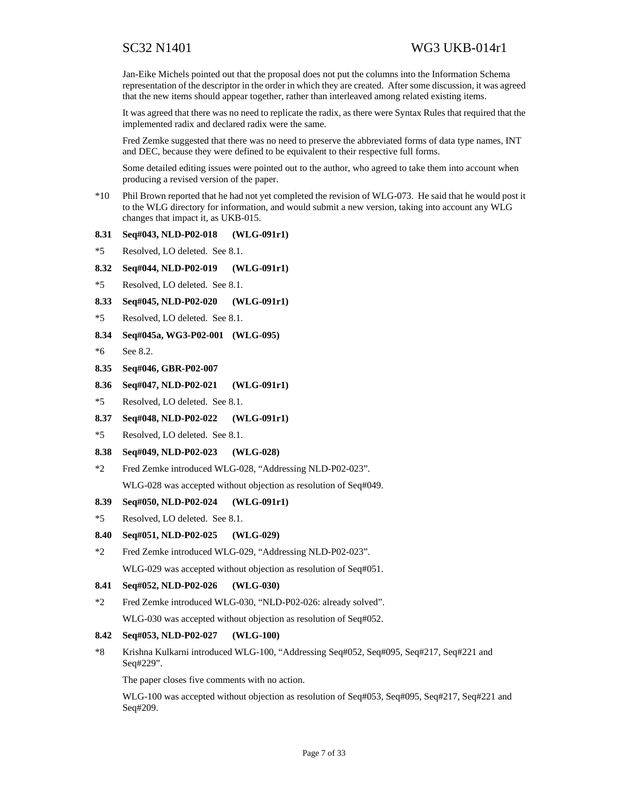Jan-Eike Michels pointed out that the proposal does not put the columns into the Information Schema representation of the descriptor in the order in which they are created. After some discussion, it was agreed that the new items should appear together, rather than interleaved among related existing items.

It was agreed that there was no need to replicate the radix, as there were Syntax Rules that required that the implemented radix and declared radix were the same.

Fred Zemke suggested that there was no need to preserve the abbreviated forms of data type names, INT and DEC, because they were defined to be equivalent to their respective full forms.

Some detailed editing issues were pointed out to the author, who agreed to take them into account when producing a revised version of the paper.

\*10 Phil Brown reported that he had not yet completed the revision of WLG-073. He said that he would post it to the WLG directory for information, and would submit a new version, taking into account any WLG changes that impact it, as UKB-015.

### **8.31 Seq#043, NLD-P02-018 (WLG-091r1)**

- \*5 Resolved, LO deleted. See 8.1.
- **8.32 Seq#044, NLD-P02-019 (WLG-091r1)**
- \*5 Resolved, LO deleted. See 8.1.
- **8.33 Seq#045, NLD-P02-020 (WLG-091r1)**
- \*5 Resolved, LO deleted. See 8.1.
- **8.34 Seq#045a, WG3-P02-001 (WLG-095)**
- \*6 See 8.2.
- **8.35 Seq#046, GBR-P02-007**
- **8.36 Seq#047, NLD-P02-021 (WLG-091r1)**
- \*5 Resolved, LO deleted. See 8.1.
- **8.37 Seq#048, NLD-P02-022 (WLG-091r1)**
- \*5 Resolved, LO deleted. See 8.1.

#### **8.38 Seq#049, NLD-P02-023 (WLG-028)**

\*2 Fred Zemke introduced WLG-028, "Addressing NLD-P02-023". WLG-028 was accepted without objection as resolution of Seq#049.

**8.39 Seq#050, NLD-P02-024 (WLG-091r1)** 

```
*5 Resolved, LO deleted. See 8.1.
```
### **8.40 Seq#051, NLD-P02-025 (WLG-029)**

\*2 Fred Zemke introduced WLG-029, "Addressing NLD-P02-023". WLG-029 was accepted without objection as resolution of Seq#051.

## **8.41 Seq#052, NLD-P02-026 (WLG-030)**

\*2 Fred Zemke introduced WLG-030, "NLD-P02-026: already solved". WLG-030 was accepted without objection as resolution of Seq#052.

### **8.42 Seq#053, NLD-P02-027 (WLG-100)**

\*8 Krishna Kulkarni introduced WLG-100, "Addressing Seq#052, Seq#095, Seq#217, Seq#221 and Seq#229".

The paper closes five comments with no action.

WLG-100 was accepted without objection as resolution of Seq#053, Seq#095, Seq#217, Seq#221 and Seq#209.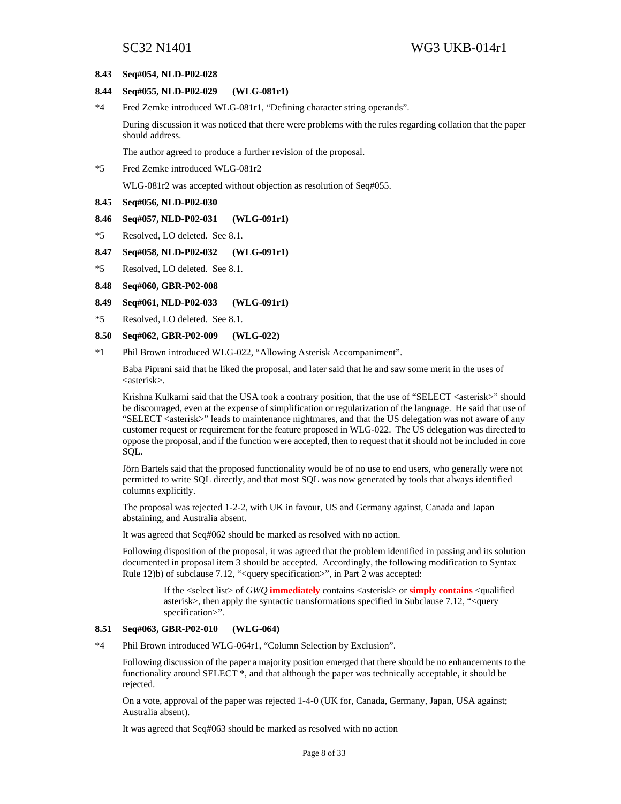#### **8.43 Seq#054, NLD-P02-028**

#### **8.44 Seq#055, NLD-P02-029 (WLG-081r1)**

\*4 Fred Zemke introduced WLG-081r1, "Defining character string operands".

During discussion it was noticed that there were problems with the rules regarding collation that the paper should address.

The author agreed to produce a further revision of the proposal.

\*5 Fred Zemke introduced WLG-081r2

WLG-081r2 was accepted without objection as resolution of Seq#055.

**8.45 Seq#056, NLD-P02-030** 

#### **8.46 Seq#057, NLD-P02-031 (WLG-091r1)**

- \*5 Resolved, LO deleted. See 8.1.
- **8.47 Seq#058, NLD-P02-032 (WLG-091r1)**
- \*5 Resolved, LO deleted. See 8.1.

#### **8.48 Seq#060, GBR-P02-008**

#### **8.49 Seq#061, NLD-P02-033 (WLG-091r1)**

\*5 Resolved, LO deleted. See 8.1.

### **8.50 Seq#062, GBR-P02-009 (WLG-022)**

\*1 Phil Brown introduced WLG-022, "Allowing Asterisk Accompaniment".

Baba Piprani said that he liked the proposal, and later said that he and saw some merit in the uses of <asterisk>.

Krishna Kulkarni said that the USA took a contrary position, that the use of "SELECT <asterisk>" should be discouraged, even at the expense of simplification or regularization of the language. He said that use of "SELECT <asterisk>" leads to maintenance nightmares, and that the US delegation was not aware of any customer request or requirement for the feature proposed in WLG-022. The US delegation was directed to oppose the proposal, and if the function were accepted, then to request that it should not be included in core SQL.

Jörn Bartels said that the proposed functionality would be of no use to end users, who generally were not permitted to write SQL directly, and that most SQL was now generated by tools that always identified columns explicitly.

The proposal was rejected 1-2-2, with UK in favour, US and Germany against, Canada and Japan abstaining, and Australia absent.

It was agreed that Seq#062 should be marked as resolved with no action.

Following disposition of the proposal, it was agreed that the problem identified in passing and its solution documented in proposal item 3 should be accepted. Accordingly, the following modification to Syntax Rule 12)b) of subclause 7.12, "<query specification>", in Part 2 was accepted:

If the <select list> of *GWQ* **immediately** contains <asterisk> or **simply contains** <qualified asterisk>, then apply the syntactic transformations specified in Subclause 7.12, "<query specification>".

#### **8.51 Seq#063, GBR-P02-010 (WLG-064)**

\*4 Phil Brown introduced WLG-064r1, "Column Selection by Exclusion".

Following discussion of the paper a majority position emerged that there should be no enhancements to the functionality around SELECT \*, and that although the paper was technically acceptable, it should be rejected.

On a vote, approval of the paper was rejected 1-4-0 (UK for, Canada, Germany, Japan, USA against; Australia absent).

It was agreed that Seq#063 should be marked as resolved with no action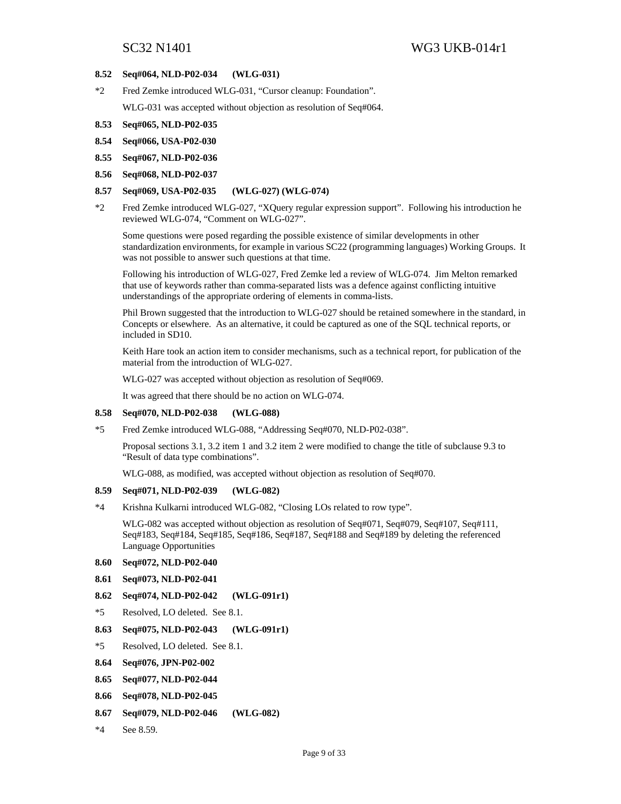#### **8.52 Seq#064, NLD-P02-034 (WLG-031)**

\*2 Fred Zemke introduced WLG-031, "Cursor cleanup: Foundation".

WLG-031 was accepted without objection as resolution of Seq#064.

- **8.53 Seq#065, NLD-P02-035**
- **8.54 Seq#066, USA-P02-030**
- **8.55 Seq#067, NLD-P02-036**
- **8.56 Seq#068, NLD-P02-037**

#### **8.57 Seq#069, USA-P02-035 (WLG-027) (WLG-074)**

\*2 Fred Zemke introduced WLG-027, "XQuery regular expression support". Following his introduction he reviewed WLG-074, "Comment on WLG-027".

Some questions were posed regarding the possible existence of similar developments in other standardization environments, for example in various SC22 (programming languages) Working Groups. It was not possible to answer such questions at that time.

Following his introduction of WLG-027, Fred Zemke led a review of WLG-074. Jim Melton remarked that use of keywords rather than comma-separated lists was a defence against conflicting intuitive understandings of the appropriate ordering of elements in comma-lists.

Phil Brown suggested that the introduction to WLG-027 should be retained somewhere in the standard, in Concepts or elsewhere. As an alternative, it could be captured as one of the SQL technical reports, or included in SD10.

Keith Hare took an action item to consider mechanisms, such as a technical report, for publication of the material from the introduction of WLG-027.

WLG-027 was accepted without objection as resolution of Seq#069.

It was agreed that there should be no action on WLG-074.

#### **8.58 Seq#070, NLD-P02-038 (WLG-088)**

\*5 Fred Zemke introduced WLG-088, "Addressing Seq#070, NLD-P02-038".

Proposal sections 3.1, 3.2 item 1 and 3.2 item 2 were modified to change the title of subclause 9.3 to "Result of data type combinations".

WLG-088, as modified, was accepted without objection as resolution of Seq#070.

### **8.59 Seq#071, NLD-P02-039 (WLG-082)**

\*4 Krishna Kulkarni introduced WLG-082, "Closing LOs related to row type".

WLG-082 was accepted without objection as resolution of Seq#071, Seq#079, Seq#107, Seq#111, Seq#183, Seq#184, Seq#185, Seq#186, Seq#187, Seq#188 and Seq#189 by deleting the referenced Language Opportunities

- **8.60 Seq#072, NLD-P02-040**
- **8.61 Seq#073, NLD-P02-041**
- **8.62 Seq#074, NLD-P02-042 (WLG-091r1)**
- \*5 Resolved, LO deleted. See 8.1.
- **8.63 Seq#075, NLD-P02-043 (WLG-091r1)**
- \*5 Resolved, LO deleted. See 8.1.
- **8.64 Seq#076, JPN-P02-002**
- **8.65 Seq#077, NLD-P02-044**
- **8.66 Seq#078, NLD-P02-045**
- **8.67 Seq#079, NLD-P02-046 (WLG-082)**
- \*4 See 8.59.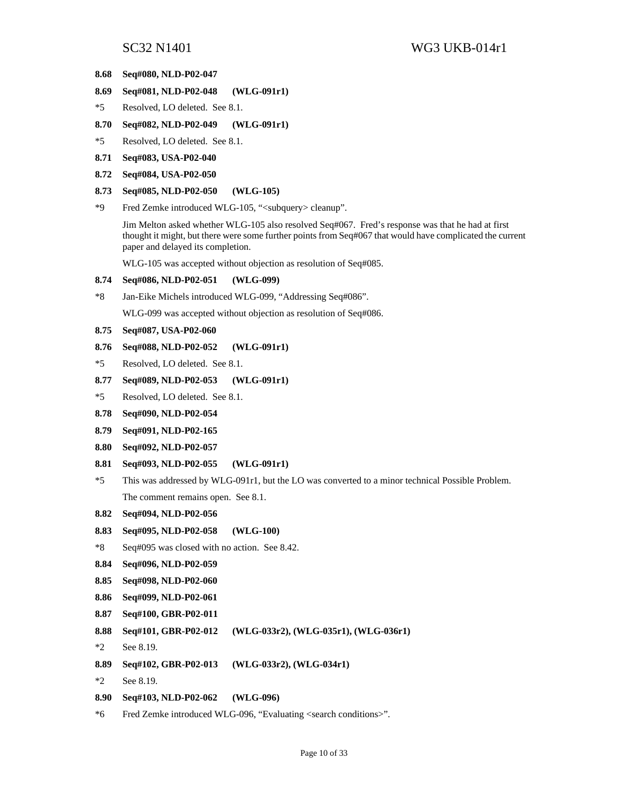- **8.68 Seq#080, NLD-P02-047**
- **8.69 Seq#081, NLD-P02-048 (WLG-091r1)**
- \*5 Resolved, LO deleted. See 8.1.
- **8.70 Seq#082, NLD-P02-049 (WLG-091r1)**
- \*5 Resolved, LO deleted. See 8.1.
- **8.71 Seq#083, USA-P02-040**
- **8.72 Seq#084, USA-P02-050**
- **8.73 Seq#085, NLD-P02-050 (WLG-105)**
- \*9 Fred Zemke introduced WLG-105, "<subquery> cleanup".

Jim Melton asked whether WLG-105 also resolved Seq#067. Fred's response was that he had at first thought it might, but there were some further points from Seq#067 that would have complicated the current paper and delayed its completion.

WLG-105 was accepted without objection as resolution of Seq#085.

### **8.74 Seq#086, NLD-P02-051 (WLG-099)**

\*8 Jan-Eike Michels introduced WLG-099, "Addressing Seq#086".

WLG-099 was accepted without objection as resolution of Seq#086.

#### **8.75 Seq#087, USA-P02-060**

- **8.76 Seq#088, NLD-P02-052 (WLG-091r1)**
- \*5 Resolved, LO deleted. See 8.1.
- **8.77 Seq#089, NLD-P02-053 (WLG-091r1)**
- \*5 Resolved, LO deleted. See 8.1.
- **8.78 Seq#090, NLD-P02-054**
- **8.79 Seq#091, NLD-P02-165**
- **8.80 Seq#092, NLD-P02-057**
- **8.81 Seq#093, NLD-P02-055 (WLG-091r1)**
- \*5 This was addressed by WLG-091r1, but the LO was converted to a minor technical Possible Problem. The comment remains open. See 8.1.
- **8.82 Seq#094, NLD-P02-056**
- **8.83 Seq#095, NLD-P02-058 (WLG-100)**
- \*8 Seq#095 was closed with no action. See 8.42.
- **8.84 Seq#096, NLD-P02-059**
- **8.85 Seq#098, NLD-P02-060**
- **8.86 Seq#099, NLD-P02-061**
- **8.87 Seq#100, GBR-P02-011**
- **8.88 Seq#101, GBR-P02-012 (WLG-033r2), (WLG-035r1), (WLG-036r1)**
- \*2 See 8.19.
- **8.89 Seq#102, GBR-P02-013 (WLG-033r2), (WLG-034r1)**
- \*2 See 8.19.
- **8.90 Seq#103, NLD-P02-062 (WLG-096)**
- \*6 Fred Zemke introduced WLG-096, "Evaluating <search conditions>".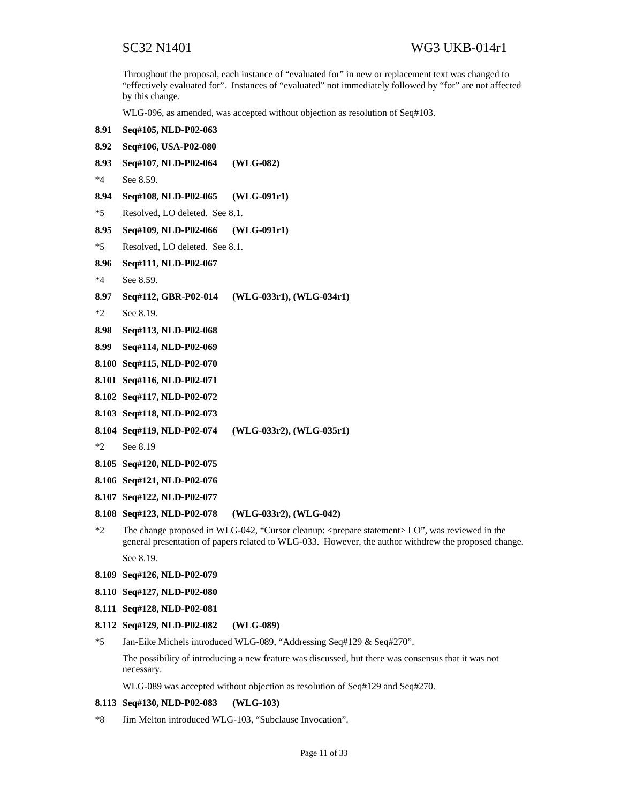Throughout the proposal, each instance of "evaluated for" in new or replacement text was changed to "effectively evaluated for". Instances of "evaluated" not immediately followed by "for" are not affected by this change.

WLG-096, as amended, was accepted without objection as resolution of Seq#103.

- **8.91 Seq#105, NLD-P02-063 8.92 Seq#106, USA-P02-080 8.93 Seq#107, NLD-P02-064 (WLG-082)**  \*4 See 8.59. **8.94 Seq#108, NLD-P02-065 (WLG-091r1)**  \*5 Resolved, LO deleted. See 8.1. **8.95 Seq#109, NLD-P02-066 (WLG-091r1)**  \*5 Resolved, LO deleted. See 8.1. **8.96 Seq#111, NLD-P02-067**  \*4 See 8.59. **8.97 Seq#112, GBR-P02-014 (WLG-033r1), (WLG-034r1)**  \*2 See 8.19. **8.98 Seq#113, NLD-P02-068 8.99 Seq#114, NLD-P02-069 8.100 Seq#115, NLD-P02-070 8.101 Seq#116, NLD-P02-071 8.102 Seq#117, NLD-P02-072 8.103 Seq#118, NLD-P02-073 8.104 Seq#119, NLD-P02-074 (WLG-033r2), (WLG-035r1)**  \*2 See 8.19 **8.105 Seq#120, NLD-P02-075 8.106 Seq#121, NLD-P02-076** 
	- **8.107 Seq#122, NLD-P02-077**
	- **8.108 Seq#123, NLD-P02-078 (WLG-033r2), (WLG-042)**
	- \*2 The change proposed in WLG-042, "Cursor cleanup: <prepare statement> LO", was reviewed in the general presentation of papers related to WLG-033. However, the author withdrew the proposed change. See 8.19.
	- **8.109 Seq#126, NLD-P02-079**
	- **8.110 Seq#127, NLD-P02-080**
	- **8.111 Seq#128, NLD-P02-081**
	- **8.112 Seq#129, NLD-P02-082 (WLG-089)**
	- \*5 Jan-Eike Michels introduced WLG-089, "Addressing Seq#129 & Seq#270".

The possibility of introducing a new feature was discussed, but there was consensus that it was not necessary.

WLG-089 was accepted without objection as resolution of Seq#129 and Seq#270.

#### **8.113 Seq#130, NLD-P02-083 (WLG-103)**

\*8 Jim Melton introduced WLG-103, "Subclause Invocation".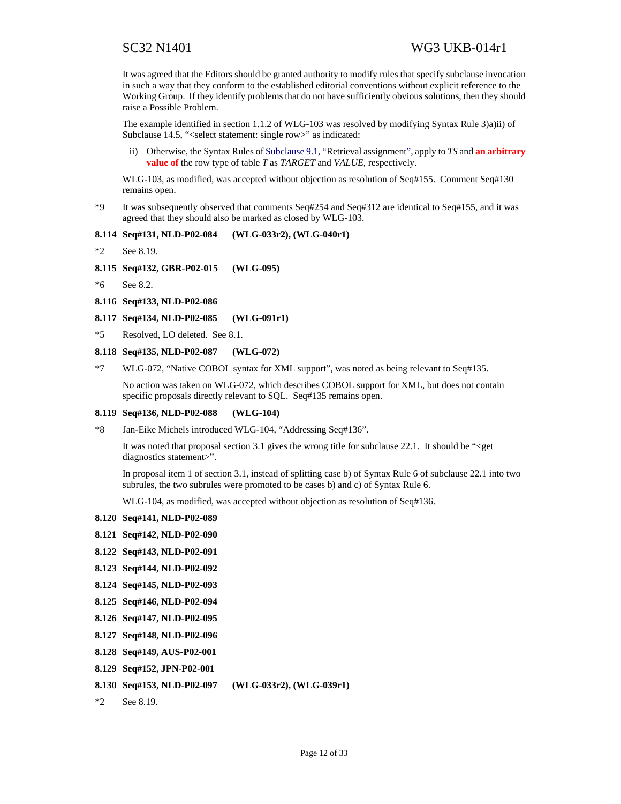It was agreed that the Editors should be granted authority to modify rules that specify subclause invocation in such a way that they conform to the established editorial conventions without explicit reference to the Working Group. If they identify problems that do not have sufficiently obvious solutions, then they should raise a Possible Problem.

The example identified in section 1.1.2 of WLG-103 was resolved by modifying Syntax Rule 3)a)ii) of Subclause 14.5, "<select statement: single row>" as indicated:

ii) Otherwise, the Syntax Rules of Subclause 9.1, "Retrieval assignment", apply to *TS* and **an arbitrary value of** the row type of table *T* as *TARGET* and *VALUE*, respectively.

WLG-103, as modified, was accepted without objection as resolution of Seq#155. Comment Seq#130 remains open.

\*9 It was subsequently observed that comments Seq#254 and Seq#312 are identical to Seq#155, and it was agreed that they should also be marked as closed by WLG-103.

#### **8.114 Seq#131, NLD-P02-084 (WLG-033r2), (WLG-040r1)**

```
*2 See 8.19.
```

```
8.115 Seq#132, GBR-P02-015 (WLG-095)
```
\*6 See 8.2.

```
8.116 Seq#133, NLD-P02-086
```

```
8.117 Seq#134, NLD-P02-085 (WLG-091r1)
```
\*5 Resolved, LO deleted. See 8.1.

```
8.118 Seq#135, NLD-P02-087 (WLG-072)
```
\*7 WLG-072, "Native COBOL syntax for XML support", was noted as being relevant to Seq#135.

No action was taken on WLG-072, which describes COBOL support for XML, but does not contain specific proposals directly relevant to SQL. Seq#135 remains open.

#### **8.119 Seq#136, NLD-P02-088 (WLG-104)**

\*8 Jan-Eike Michels introduced WLG-104, "Addressing Seq#136".

It was noted that proposal section 3.1 gives the wrong title for subclause 22.1. It should be "<get diagnostics statement>".

In proposal item 1 of section 3.1, instead of splitting case b) of Syntax Rule 6 of subclause 22.1 into two subrules, the two subrules were promoted to be cases b) and c) of Syntax Rule 6.

WLG-104, as modified, was accepted without objection as resolution of Seq#136.

- **8.120 Seq#141, NLD-P02-089**
- **8.121 Seq#142, NLD-P02-090**
- **8.122 Seq#143, NLD-P02-091**
- **8.123 Seq#144, NLD-P02-092**
- **8.124 Seq#145, NLD-P02-093**
- **8.125 Seq#146, NLD-P02-094**
- **8.126 Seq#147, NLD-P02-095**
- **8.127 Seq#148, NLD-P02-096**
- **8.128 Seq#149, AUS-P02-001**
- **8.129 Seq#152, JPN-P02-001**
- **8.130 Seq#153, NLD-P02-097 (WLG-033r2), (WLG-039r1)**
- \*2 See 8.19.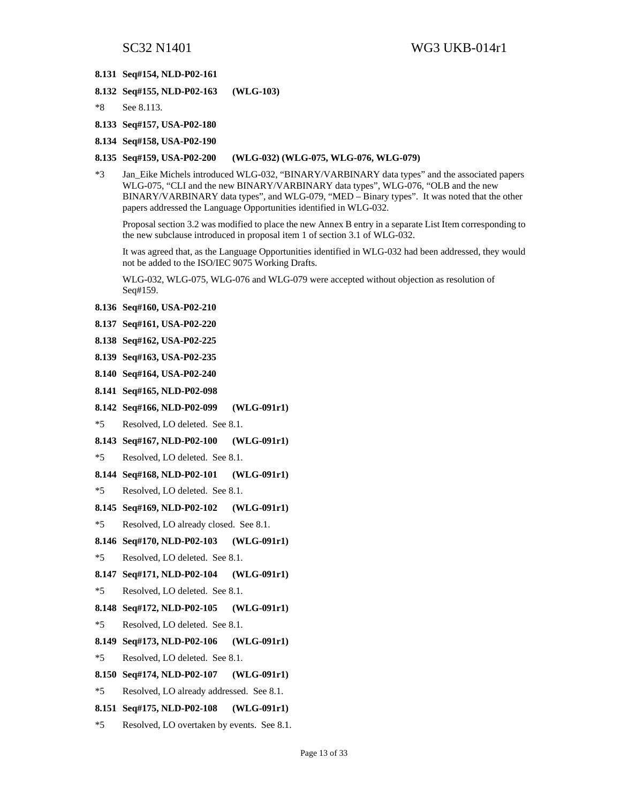#### **8.131 Seq#154, NLD-P02-161**

- **8.132 Seq#155, NLD-P02-163 (WLG-103)**
- \*8 See 8.113.
- **8.133 Seq#157, USA-P02-180**
- **8.134 Seq#158, USA-P02-190**

#### **8.135 Seq#159, USA-P02-200 (WLG-032) (WLG-075, WLG-076, WLG-079)**

\*3 Jan\_Eike Michels introduced WLG-032, "BINARY/VARBINARY data types" and the associated papers WLG-075, "CLI and the new BINARY/VARBINARY data types", WLG-076, "OLB and the new BINARY/VARBINARY data types", and WLG-079, "MED – Binary types". It was noted that the other papers addressed the Language Opportunities identified in WLG-032.

Proposal section 3.2 was modified to place the new Annex B entry in a separate List Item corresponding to the new subclause introduced in proposal item 1 of section 3.1 of WLG-032.

It was agreed that, as the Language Opportunities identified in WLG-032 had been addressed, they would not be added to the ISO/IEC 9075 Working Drafts.

WLG-032, WLG-075, WLG-076 and WLG-079 were accepted without objection as resolution of Seq#159.

- **8.136 Seq#160, USA-P02-210**
- **8.137 Seq#161, USA-P02-220**
- **8.138 Seq#162, USA-P02-225**
- **8.139 Seq#163, USA-P02-235**
- **8.140 Seq#164, USA-P02-240**
- **8.141 Seq#165, NLD-P02-098**
- **8.142 Seq#166, NLD-P02-099 (WLG-091r1)**
- \*5 Resolved, LO deleted. See 8.1.
- **8.143 Seq#167, NLD-P02-100 (WLG-091r1)**
- \*5 Resolved, LO deleted. See 8.1.
- **8.144 Seq#168, NLD-P02-101 (WLG-091r1)**
- \*5 Resolved, LO deleted. See 8.1.
- **8.145 Seq#169, NLD-P02-102 (WLG-091r1)**
- \*5 Resolved, LO already closed. See 8.1.
- **8.146 Seq#170, NLD-P02-103 (WLG-091r1)**
- \*5 Resolved, LO deleted. See 8.1.
- **8.147 Seq#171, NLD-P02-104 (WLG-091r1)**
- \*5 Resolved, LO deleted. See 8.1.
- **8.148 Seq#172, NLD-P02-105 (WLG-091r1)**
- \*5 Resolved, LO deleted. See 8.1.
- **8.149 Seq#173, NLD-P02-106 (WLG-091r1)**
- \*5 Resolved, LO deleted. See 8.1.
- **8.150 Seq#174, NLD-P02-107 (WLG-091r1)**
- \*5 Resolved, LO already addressed. See 8.1.
- **8.151 Seq#175, NLD-P02-108 (WLG-091r1)**
- \*5 Resolved, LO overtaken by events. See 8.1.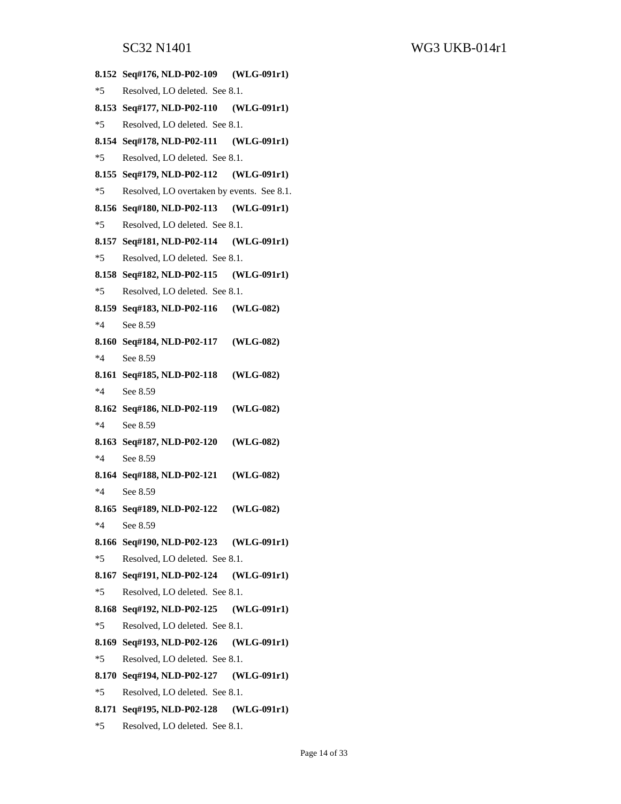**8.152 Seq#176, NLD-P02-109 (WLG-091r1)**  \*5 Resolved, LO deleted. See 8.1. **8.153 Seq#177, NLD-P02-110 (WLG-091r1)**  \*5 Resolved, LO deleted. See 8.1. **8.154 Seq#178, NLD-P02-111 (WLG-091r1)**  \*5 Resolved, LO deleted. See 8.1. **8.155 Seq#179, NLD-P02-112 (WLG-091r1)**  \*5 Resolved, LO overtaken by events. See 8.1. **8.156 Seq#180, NLD-P02-113 (WLG-091r1)**  \*5 Resolved, LO deleted. See 8.1. **8.157 Seq#181, NLD-P02-114 (WLG-091r1)**  \*5 Resolved, LO deleted. See 8.1. **8.158 Seq#182, NLD-P02-115 (WLG-091r1)**  \*5 Resolved, LO deleted. See 8.1. **8.159 Seq#183, NLD-P02-116 (WLG-082)**  \*4 See 8.59 **8.160 Seq#184, NLD-P02-117 (WLG-082)**  \*4 See 8.59 **8.161 Seq#185, NLD-P02-118 (WLG-082)**  \*4 See 8.59 **8.162 Seq#186, NLD-P02-119 (WLG-082)**  \*4 See 8.59 **8.163 Seq#187, NLD-P02-120 (WLG-082)**  \*4 See 8.59 **8.164 Seq#188, NLD-P02-121 (WLG-082)**  \*4 See 8.59 **8.165 Seq#189, NLD-P02-122 (WLG-082)**  \*4 See 8.59 **8.166 Seq#190, NLD-P02-123 (WLG-091r1)**  \*5 Resolved, LO deleted. See 8.1. **8.167 Seq#191, NLD-P02-124 (WLG-091r1)**  \*5 Resolved, LO deleted. See 8.1. **8.168 Seq#192, NLD-P02-125 (WLG-091r1)**  \*5 Resolved, LO deleted. See 8.1. **8.169 Seq#193, NLD-P02-126 (WLG-091r1)**  \*5 Resolved, LO deleted. See 8.1. **8.170 Seq#194, NLD-P02-127 (WLG-091r1)**  \*5 Resolved, LO deleted. See 8.1. **8.171 Seq#195, NLD-P02-128 (WLG-091r1)**  \*5 Resolved, LO deleted. See 8.1.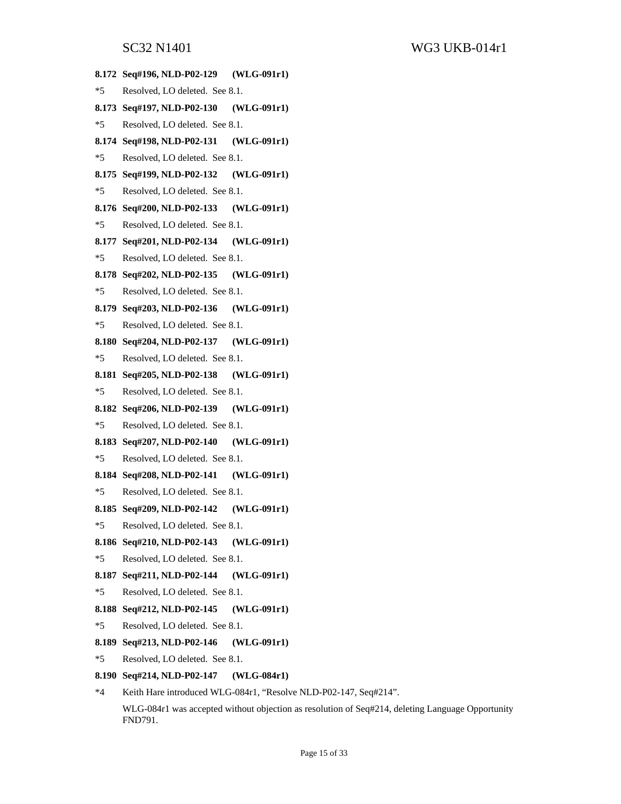SC32 N1401 WG3 UKB-014r1 **8.172 Seq#196, NLD-P02-129 (WLG-091r1)**  \*5 Resolved, LO deleted. See 8.1. **8.173 Seq#197, NLD-P02-130 (WLG-091r1)**  \*5 Resolved, LO deleted. See 8.1. **8.174 Seq#198, NLD-P02-131 (WLG-091r1)**  \*5 Resolved, LO deleted. See 8.1. **8.175 Seq#199, NLD-P02-132 (WLG-091r1)**  \*5 Resolved, LO deleted. See 8.1. **8.176 Seq#200, NLD-P02-133 (WLG-091r1)**  \*5 Resolved, LO deleted. See 8.1. **8.177 Seq#201, NLD-P02-134 (WLG-091r1)**  \*5 Resolved, LO deleted. See 8.1. **8.178 Seq#202, NLD-P02-135 (WLG-091r1)**  \*5 Resolved, LO deleted. See 8.1. **8.179 Seq#203, NLD-P02-136 (WLG-091r1)**  \*5 Resolved, LO deleted. See 8.1. **8.180 Seq#204, NLD-P02-137 (WLG-091r1)**  \*5 Resolved, LO deleted. See 8.1. **8.181 Seq#205, NLD-P02-138 (WLG-091r1)**  \*5 Resolved, LO deleted. See 8.1. **8.182 Seq#206, NLD-P02-139 (WLG-091r1)**  \*5 Resolved, LO deleted. See 8.1. **8.183 Seq#207, NLD-P02-140 (WLG-091r1)**  \*5 Resolved, LO deleted. See 8.1. **8.184 Seq#208, NLD-P02-141 (WLG-091r1)**  \*5 Resolved, LO deleted. See 8.1. **8.185 Seq#209, NLD-P02-142 (WLG-091r1)**  \*5 Resolved, LO deleted. See 8.1. **8.186 Seq#210, NLD-P02-143 (WLG-091r1)**  \*5 Resolved, LO deleted. See 8.1. **8.187 Seq#211, NLD-P02-144 (WLG-091r1)**  \*5 Resolved, LO deleted. See 8.1. **8.188 Seq#212, NLD-P02-145 (WLG-091r1)**  \*5 Resolved, LO deleted. See 8.1. **8.189 Seq#213, NLD-P02-146 (WLG-091r1)**  \*5 Resolved, LO deleted. See 8.1. **8.190 Seq#214, NLD-P02-147 (WLG-084r1)**  \*4 Keith Hare introduced WLG-084r1, "Resolve NLD-P02-147, Seq#214".

WLG-084r1 was accepted without objection as resolution of Seq#214, deleting Language Opportunity FND791.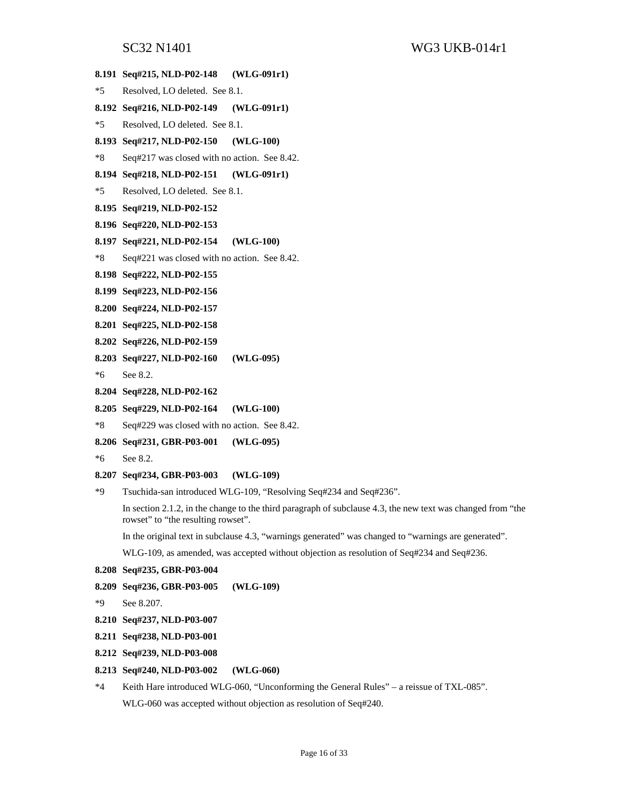|       | <b>DUJZ INTHUI</b>                           | $WUJ U \Lambda U U H1$                                                                                      |
|-------|----------------------------------------------|-------------------------------------------------------------------------------------------------------------|
|       | 8.191 Seq#215, NLD-P02-148                   | $(WLG-091r1)$                                                                                               |
| $*5$  | Resolved, LO deleted. See 8.1.               |                                                                                                             |
|       | 8.192 Seq#216, NLD-P02-149                   | $(WLG-091r1)$                                                                                               |
| $*5$  | Resolved, LO deleted. See 8.1.               |                                                                                                             |
|       | 8.193 Seq#217, NLD-P02-150                   | $(WLG-100)$                                                                                                 |
| $*8$  | Seq#217 was closed with no action. See 8.42. |                                                                                                             |
|       | 8.194 Seq#218, NLD-P02-151                   | $(WLG-091r1)$                                                                                               |
| $*5$  | Resolved, LO deleted. See 8.1.               |                                                                                                             |
|       | 8.195 Seq#219, NLD-P02-152                   |                                                                                                             |
|       | 8.196 Seq#220, NLD-P02-153                   |                                                                                                             |
|       | 8.197 Seq#221, NLD-P02-154                   | $(WLG-100)$                                                                                                 |
| $*8$  | Seq#221 was closed with no action. See 8.42. |                                                                                                             |
|       | 8.198 Seq#222, NLD-P02-155                   |                                                                                                             |
|       | 8.199 Seq#223, NLD-P02-156                   |                                                                                                             |
|       | 8.200 Seq#224, NLD-P02-157                   |                                                                                                             |
|       | 8.201 Seq#225, NLD-P02-158                   |                                                                                                             |
|       | 8.202 Seq#226, NLD-P02-159                   |                                                                                                             |
|       | 8.203 Seq#227, NLD-P02-160                   | $(WLG-095)$                                                                                                 |
| *6    | See 8.2.                                     |                                                                                                             |
|       | 8.204 Seq#228, NLD-P02-162                   |                                                                                                             |
|       | 8.205 Seq#229, NLD-P02-164                   | $(WLG-100)$                                                                                                 |
| $*8$  | Seq#229 was closed with no action. See 8.42. |                                                                                                             |
|       | 8.206 Seq#231, GBR-P03-001                   | $(WLG-095)$                                                                                                 |
| $*6$  | See 8.2.                                     |                                                                                                             |
|       | 8.207 Seq#234, GBR-P03-003                   | $(WLG-109)$                                                                                                 |
| *9    |                                              | Tsuchida-san introduced WLG-109, "Resolving Seq#234 and Seq#236".                                           |
|       | rowset" to "the resulting rowset".           | In section 2.1.2, in the change to the third paragraph of subclause 4.3, the new text was changed from "the |
|       |                                              | In the original text in subclause 4.3, "warnings generated" was changed to "warnings are generated".        |
|       |                                              | WLG-109, as amended, was accepted without objection as resolution of Seq#234 and Seq#236.                   |
|       | 8.208 Seq#235, GBR-P03-004                   |                                                                                                             |
| 8.209 | Seq#236, GBR-P03-005                         | (WLG-109)                                                                                                   |
| *9    | See 8.207.                                   |                                                                                                             |
|       | 8.210 Seq#237, NLD-P03-007                   |                                                                                                             |
|       | 8.211 Seq#238, NLD-P03-001                   |                                                                                                             |
|       | 8.212 Seq#239, NLD-P03-008                   |                                                                                                             |
|       | 8.213 Seq#240, NLD-P03-002                   | (WLG-060)                                                                                                   |
|       |                                              |                                                                                                             |

\*4 Keith Hare introduced WLG-060, "Unconforming the General Rules" – a reissue of TXL-085". WLG-060 was accepted without objection as resolution of Seq#240.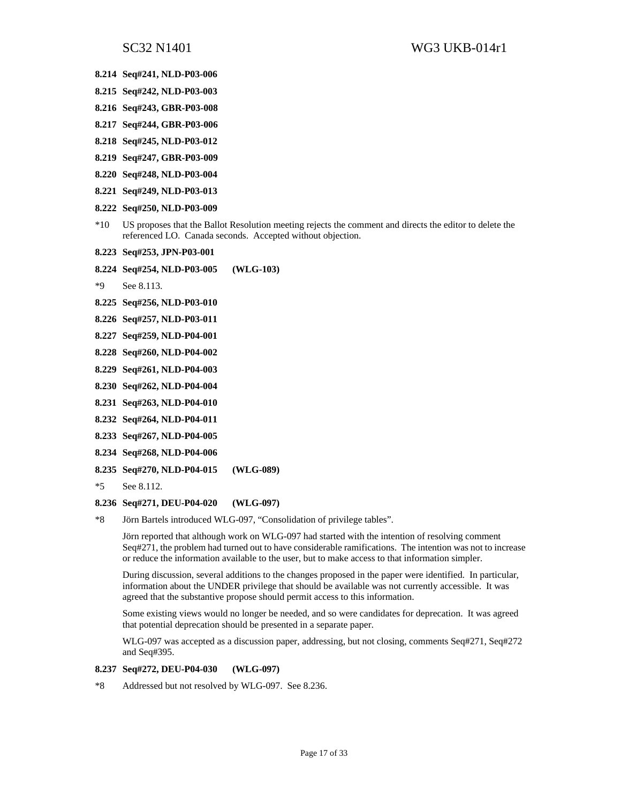- **8.214 Seq#241, NLD-P03-006**
- **8.215 Seq#242, NLD-P03-003**
- **8.216 Seq#243, GBR-P03-008**
- **8.217 Seq#244, GBR-P03-006**
- **8.218 Seq#245, NLD-P03-012**
- **8.219 Seq#247, GBR-P03-009**
- **8.220 Seq#248, NLD-P03-004**
- **8.221 Seq#249, NLD-P03-013**
- **8.222 Seq#250, NLD-P03-009**
- \*10 US proposes that the Ballot Resolution meeting rejects the comment and directs the editor to delete the referenced LO. Canada seconds. Accepted without objection.
- **8.223 Seq#253, JPN-P03-001**
- **8.224 Seq#254, NLD-P03-005 (WLG-103)**
- \*9 See 8.113.
- **8.225 Seq#256, NLD-P03-010**
- **8.226 Seq#257, NLD-P03-011**
- **8.227 Seq#259, NLD-P04-001**
- **8.228 Seq#260, NLD-P04-002**
- **8.229 Seq#261, NLD-P04-003**
- **8.230 Seq#262, NLD-P04-004**
- **8.231 Seq#263, NLD-P04-010**
- **8.232 Seq#264, NLD-P04-011**
- **8.233 Seq#267, NLD-P04-005**
- **8.234 Seq#268, NLD-P04-006**
- **8.235 Seq#270, NLD-P04-015 (WLG-089)**
- \*5 See 8.112.

### **8.236 Seq#271, DEU-P04-020 (WLG-097)**

\*8 Jörn Bartels introduced WLG-097, "Consolidation of privilege tables".

Jörn reported that although work on WLG-097 had started with the intention of resolving comment Seq#271, the problem had turned out to have considerable ramifications. The intention was not to increase or reduce the information available to the user, but to make access to that information simpler.

During discussion, several additions to the changes proposed in the paper were identified. In particular, information about the UNDER privilege that should be available was not currently accessible. It was agreed that the substantive propose should permit access to this information.

Some existing views would no longer be needed, and so were candidates for deprecation. It was agreed that potential deprecation should be presented in a separate paper.

WLG-097 was accepted as a discussion paper, addressing, but not closing, comments Seq#271, Seq#272 and Seq#395.

### **8.237 Seq#272, DEU-P04-030 (WLG-097)**

\*8 Addressed but not resolved by WLG-097. See 8.236.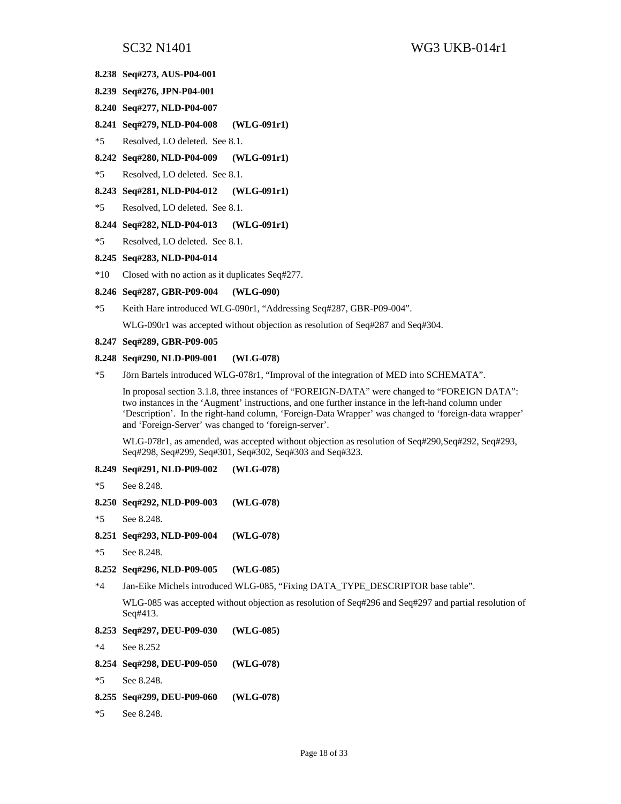- **8.238 Seq#273, AUS-P04-001**
- **8.239 Seq#276, JPN-P04-001**
- **8.240 Seq#277, NLD-P04-007**
- **8.241 Seq#279, NLD-P04-008 (WLG-091r1)**
- \*5 Resolved, LO deleted. See 8.1.
- **8.242 Seq#280, NLD-P04-009 (WLG-091r1)**
- \*5 Resolved, LO deleted. See 8.1.

#### **8.243 Seq#281, NLD-P04-012 (WLG-091r1)**

\*5 Resolved, LO deleted. See 8.1.

#### **8.244 Seq#282, NLD-P04-013 (WLG-091r1)**

\*5 Resolved, LO deleted. See 8.1.

#### **8.245 Seq#283, NLD-P04-014**

\*10 Closed with no action as it duplicates Seq#277.

#### **8.246 Seq#287, GBR-P09-004 (WLG-090)**

\*5 Keith Hare introduced WLG-090r1, "Addressing Seq#287, GBR-P09-004".

WLG-090r1 was accepted without objection as resolution of Seq#287 and Seq#304.

#### **8.247 Seq#289, GBR-P09-005**

#### **8.248 Seq#290, NLD-P09-001 (WLG-078)**

\*5 Jörn Bartels introduced WLG-078r1, "Improval of the integration of MED into SCHEMATA".

In proposal section 3.1.8, three instances of "FOREIGN-DATA" were changed to "FOREIGN DATA": two instances in the 'Augment' instructions, and one further instance in the left-hand column under 'Description'. In the right-hand column, 'Foreign-Data Wrapper' was changed to 'foreign-data wrapper' and 'Foreign-Server' was changed to 'foreign-server'.

WLG-078r1, as amended, was accepted without objection as resolution of Seq#290,Seq#292, Seq#293, Seq#298, Seq#299, Seq#301, Seq#302, Seq#303 and Seq#323.

#### **8.249 Seq#291, NLD-P09-002 (WLG-078)**

\*5 See 8.248.

```
8.250 Seq#292, NLD-P09-003 (WLG-078)
```
- \*5 See 8.248.
- **8.251 Seq#293, NLD-P09-004 (WLG-078)**
- \*5 See 8.248.

```
8.252 Seq#296, NLD-P09-005 (WLG-085)
```

```
*4 Jan-Eike Michels introduced WLG-085, "Fixing DATA_TYPE_DESCRIPTOR base table".
```
WLG-085 was accepted without objection as resolution of Seq#296 and Seq#297 and partial resolution of Seq#413.

- **8.253 Seq#297, DEU-P09-030 (WLG-085)**
- \*4 See 8.252
- **8.254 Seq#298, DEU-P09-050 (WLG-078)**
- \*5 See 8.248.
- **8.255 Seq#299, DEU-P09-060 (WLG-078)**
- \*5 See 8.248.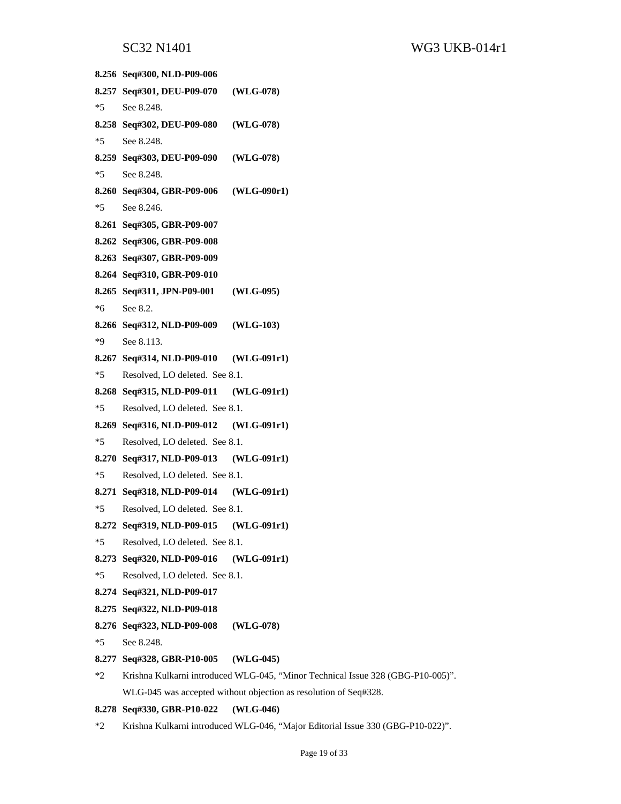**8.256 Seq#300, NLD-P09-006 8.257 Seq#301, DEU-P09-070 (WLG-078)**  \*5 See 8.248. **8.258 Seq#302, DEU-P09-080 (WLG-078)**  \*5 See 8.248. **8.259 Seq#303, DEU-P09-090 (WLG-078)**  \*5 See 8.248. **8.260 Seq#304, GBR-P09-006 (WLG-090r1)**  \*5 See 8.246. **8.261 Seq#305, GBR-P09-007 8.262 Seq#306, GBR-P09-008 8.263 Seq#307, GBR-P09-009 8.264 Seq#310, GBR-P09-010 8.265 Seq#311, JPN-P09-001 (WLG-095)**  \*6 See 8.2. **8.266 Seq#312, NLD-P09-009 (WLG-103)**  \*9 See 8.113. **8.267 Seq#314, NLD-P09-010 (WLG-091r1)**  \*5 Resolved, LO deleted. See 8.1. **8.268 Seq#315, NLD-P09-011 (WLG-091r1)**  \*5 Resolved, LO deleted. See 8.1. **8.269 Seq#316, NLD-P09-012 (WLG-091r1)**  \*5 Resolved, LO deleted. See 8.1. **8.270 Seq#317, NLD-P09-013 (WLG-091r1)**  \*5 Resolved, LO deleted. See 8.1. **8.271 Seq#318, NLD-P09-014 (WLG-091r1)**  \*5 Resolved, LO deleted. See 8.1. **8.272 Seq#319, NLD-P09-015 (WLG-091r1)**  \*5 Resolved, LO deleted. See 8.1. **8.273 Seq#320, NLD-P09-016 (WLG-091r1)**  \*5 Resolved, LO deleted. See 8.1. **8.274 Seq#321, NLD-P09-017 8.275 Seq#322, NLD-P09-018 8.276 Seq#323, NLD-P09-008 (WLG-078)**  \*5 See 8.248. **8.277 Seq#328, GBR-P10-005 (WLG-045)**  \*2 Krishna Kulkarni introduced WLG-045, "Minor Technical Issue 328 (GBG-P10-005)". WLG-045 was accepted without objection as resolution of Seq#328. **8.278 Seq#330, GBR-P10-022 (WLG-046)** 

\*2 Krishna Kulkarni introduced WLG-046, "Major Editorial Issue 330 (GBG-P10-022)".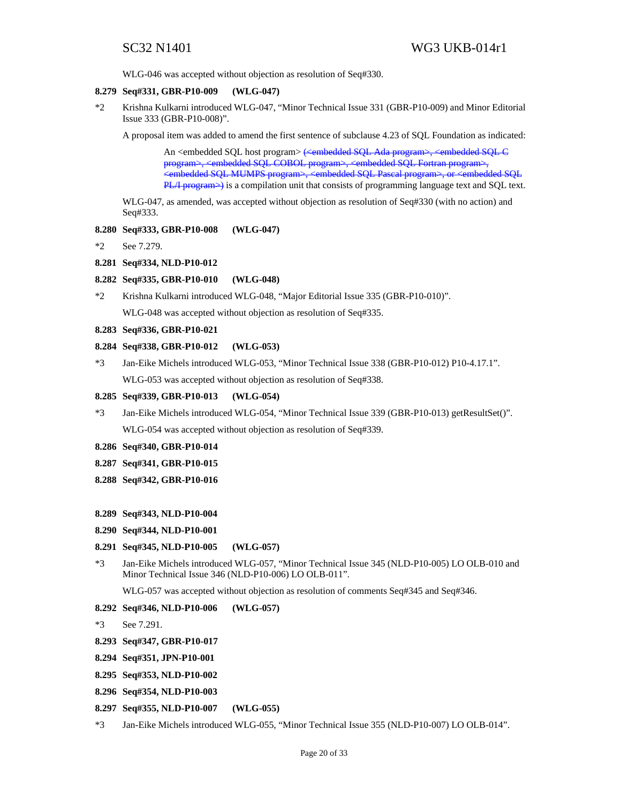WLG-046 was accepted without objection as resolution of Seq#330.

#### **8.279 Seq#331, GBR-P10-009 (WLG-047)**

\*2 Krishna Kulkarni introduced WLG-047, "Minor Technical Issue 331 (GBR-P10-009) and Minor Editorial Issue 333 (GBR-P10-008)".

A proposal item was added to amend the first sentence of subclause 4.23 of SQL Foundation as indicated:

An <embedded SQL host program> (<embedded SQL Ada program>, <embedded SQL C program>, <embedded SQL COBOL program>, <embedded SQL Fortran program>, <embedded SQL MUMPS program>, <embedded SQL Pascal program>, or <embedded SQL  $PL/IP$  program $\rightarrow$ ) is a compilation unit that consists of programming language text and SQL text.

WLG-047, as amended, was accepted without objection as resolution of Seq#330 (with no action) and Seq#333.

#### **8.280 Seq#333, GBR-P10-008 (WLG-047)**

\*2 See 7.279.

#### **8.281 Seq#334, NLD-P10-012**

### **8.282 Seq#335, GBR-P10-010 (WLG-048)**

\*2 Krishna Kulkarni introduced WLG-048, "Major Editorial Issue 335 (GBR-P10-010)".

WLG-048 was accepted without objection as resolution of Seq#335.

### **8.283 Seq#336, GBR-P10-021**

#### **8.284 Seq#338, GBR-P10-012 (WLG-053)**

\*3 Jan-Eike Michels introduced WLG-053, "Minor Technical Issue 338 (GBR-P10-012) P10-4.17.1". WLG-053 was accepted without objection as resolution of Seq#338.

#### **8.285 Seq#339, GBR-P10-013 (WLG-054)**

- \*3 Jan-Eike Michels introduced WLG-054, "Minor Technical Issue 339 (GBR-P10-013) getResultSet()". WLG-054 was accepted without objection as resolution of Seq#339.
- **8.286 Seq#340, GBR-P10-014**
- **8.287 Seq#341, GBR-P10-015**
- **8.288 Seq#342, GBR-P10-016**

#### **8.289 Seq#343, NLD-P10-004**

**8.290 Seq#344, NLD-P10-001** 

#### **8.291 Seq#345, NLD-P10-005 (WLG-057)**

\*3 Jan-Eike Michels introduced WLG-057, "Minor Technical Issue 345 (NLD-P10-005) LO OLB-010 and Minor Technical Issue 346 (NLD-P10-006) LO OLB-011".

WLG-057 was accepted without objection as resolution of comments Seq#345 and Seq#346.

#### **8.292 Seq#346, NLD-P10-006 (WLG-057)**

\*3 See 7.291.

- **8.293 Seq#347, GBR-P10-017**
- **8.294 Seq#351, JPN-P10-001**
- **8.295 Seq#353, NLD-P10-002**
- **8.296 Seq#354, NLD-P10-003**
- **8.297 Seq#355, NLD-P10-007 (WLG-055)**
- \*3 Jan-Eike Michels introduced WLG-055, "Minor Technical Issue 355 (NLD-P10-007) LO OLB-014".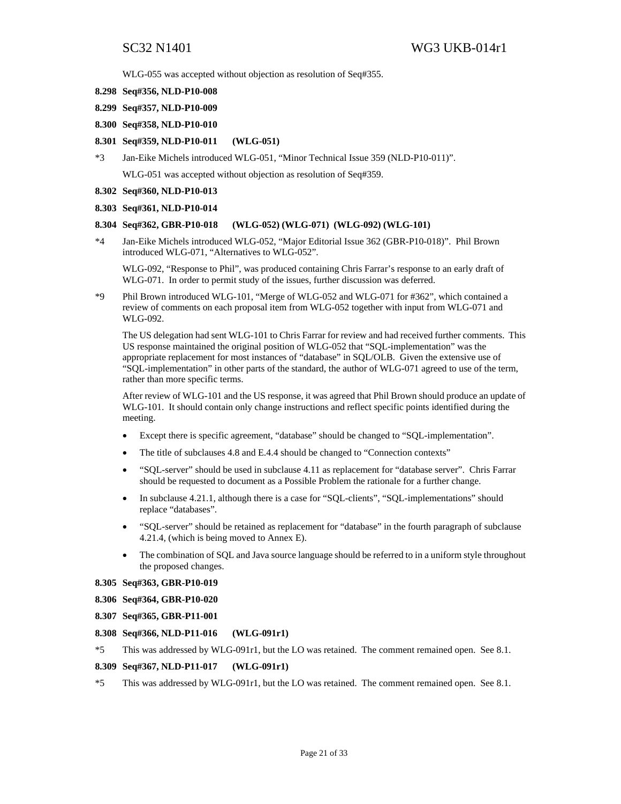WLG-055 was accepted without objection as resolution of Seq#355.

- **8.298 Seq#356, NLD-P10-008**
- **8.299 Seq#357, NLD-P10-009**
- **8.300 Seq#358, NLD-P10-010**
- **8.301 Seq#359, NLD-P10-011 (WLG-051)**
- \*3 Jan-Eike Michels introduced WLG-051, "Minor Technical Issue 359 (NLD-P10-011)". WLG-051 was accepted without objection as resolution of Seq#359.
- **8.302 Seq#360, NLD-P10-013**

#### **8.303 Seq#361, NLD-P10-014**

#### **8.304 Seq#362, GBR-P10-018 (WLG-052) (WLG-071) (WLG-092) (WLG-101)**

\*4 Jan-Eike Michels introduced WLG-052, "Major Editorial Issue 362 (GBR-P10-018)". Phil Brown introduced WLG-071, "Alternatives to WLG-052".

WLG-092, "Response to Phil", was produced containing Chris Farrar's response to an early draft of WLG-071. In order to permit study of the issues, further discussion was deferred.

\*9 Phil Brown introduced WLG-101, "Merge of WLG-052 and WLG-071 for #362", which contained a review of comments on each proposal item from WLG-052 together with input from WLG-071 and WLG-092.

The US delegation had sent WLG-101 to Chris Farrar for review and had received further comments. This US response maintained the original position of WLG-052 that "SQL-implementation" was the appropriate replacement for most instances of "database" in SQL/OLB. Given the extensive use of "SQL-implementation" in other parts of the standard, the author of WLG-071 agreed to use of the term, rather than more specific terms.

After review of WLG-101 and the US response, it was agreed that Phil Brown should produce an update of WLG-101. It should contain only change instructions and reflect specific points identified during the meeting.

- Except there is specific agreement, "database" should be changed to "SQL-implementation".
- The title of subclauses 4.8 and E.4.4 should be changed to "Connection contexts"
- "SQL-server" should be used in subclause 4.11 as replacement for "database server". Chris Farrar should be requested to document as a Possible Problem the rationale for a further change.
- In subclause 4.21.1, although there is a case for "SQL-clients", "SQL-implementations" should replace "databases".
- "SQL-server" should be retained as replacement for "database" in the fourth paragraph of subclause 4.21.4, (which is being moved to Annex E).
- The combination of SQL and Java source language should be referred to in a uniform style throughout the proposed changes.
- **8.305 Seq#363, GBR-P10-019**
- **8.306 Seq#364, GBR-P10-020**
- **8.307 Seq#365, GBR-P11-001**
- **8.308 Seq#366, NLD-P11-016 (WLG-091r1)**
- \*5 This was addressed by WLG-091r1, but the LO was retained. The comment remained open. See 8.1.

#### **8.309 Seq#367, NLD-P11-017 (WLG-091r1)**

\*5 This was addressed by WLG-091r1, but the LO was retained. The comment remained open. See 8.1.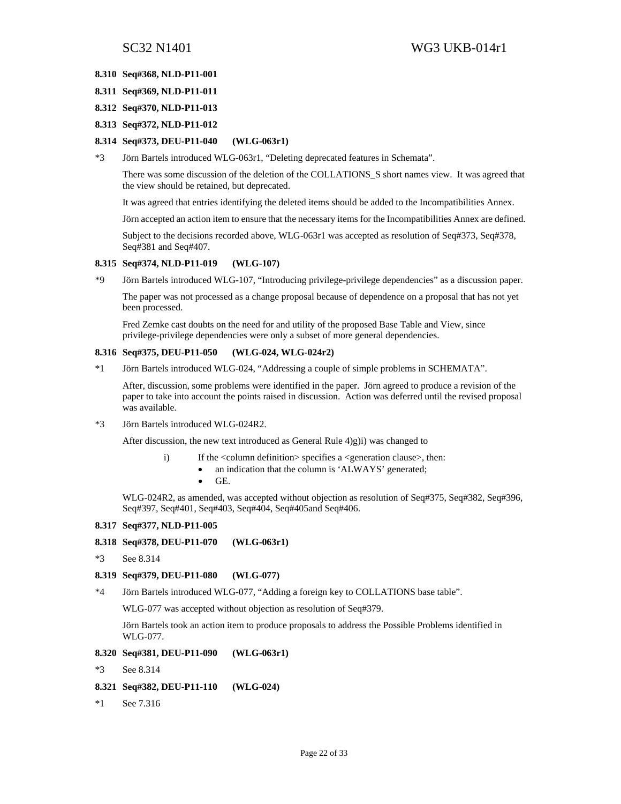#### **8.310 Seq#368, NLD-P11-001**

- **8.311 Seq#369, NLD-P11-011**
- **8.312 Seq#370, NLD-P11-013**
- **8.313 Seq#372, NLD-P11-012**

#### **8.314 Seq#373, DEU-P11-040 (WLG-063r1)**

\*3 Jörn Bartels introduced WLG-063r1, "Deleting deprecated features in Schemata".

There was some discussion of the deletion of the COLLATIONS\_S short names view. It was agreed that the view should be retained, but deprecated.

It was agreed that entries identifying the deleted items should be added to the Incompatibilities Annex.

Jörn accepted an action item to ensure that the necessary items for the Incompatibilities Annex are defined.

Subject to the decisions recorded above, WLG-063r1 was accepted as resolution of Seq#373, Seq#378, Seq#381 and Seq#407.

#### **8.315 Seq#374, NLD-P11-019 (WLG-107)**

\*9 Jörn Bartels introduced WLG-107, "Introducing privilege-privilege dependencies" as a discussion paper.

The paper was not processed as a change proposal because of dependence on a proposal that has not yet been processed.

Fred Zemke cast doubts on the need for and utility of the proposed Base Table and View, since privilege-privilege dependencies were only a subset of more general dependencies.

#### **8.316 Seq#375, DEU-P11-050 (WLG-024, WLG-024r2)**

\*1 Jörn Bartels introduced WLG-024, "Addressing a couple of simple problems in SCHEMATA".

After, discussion, some problems were identified in the paper. Jörn agreed to produce a revision of the paper to take into account the points raised in discussion. Action was deferred until the revised proposal was available.

\*3 Jörn Bartels introduced WLG-024R2.

After discussion, the new text introduced as General Rule 4)g)i) was changed to

- i) If the <column definition> specifies a <generation clause>, then:
	- an indication that the column is 'ALWAYS' generated;
	- GE.

WLG-024R2, as amended, was accepted without objection as resolution of Seq#375, Seq#382, Seq#396, Seq#397, Seq#401, Seq#403, Seq#404, Seq#405and Seq#406.

### **8.317 Seq#377, NLD-P11-005**

### **8.318 Seq#378, DEU-P11-070 (WLG-063r1)**

\*3 See 8.314

#### **8.319 Seq#379, DEU-P11-080 (WLG-077)**

\*4 Jörn Bartels introduced WLG-077, "Adding a foreign key to COLLATIONS base table".

WLG-077 was accepted without objection as resolution of Seq#379.

Jörn Bartels took an action item to produce proposals to address the Possible Problems identified in WLG-077.

#### **8.320 Seq#381, DEU-P11-090 (WLG-063r1)**

\*3 See 8.314

#### **8.321 Seq#382, DEU-P11-110 (WLG-024)**

\*1 See 7.316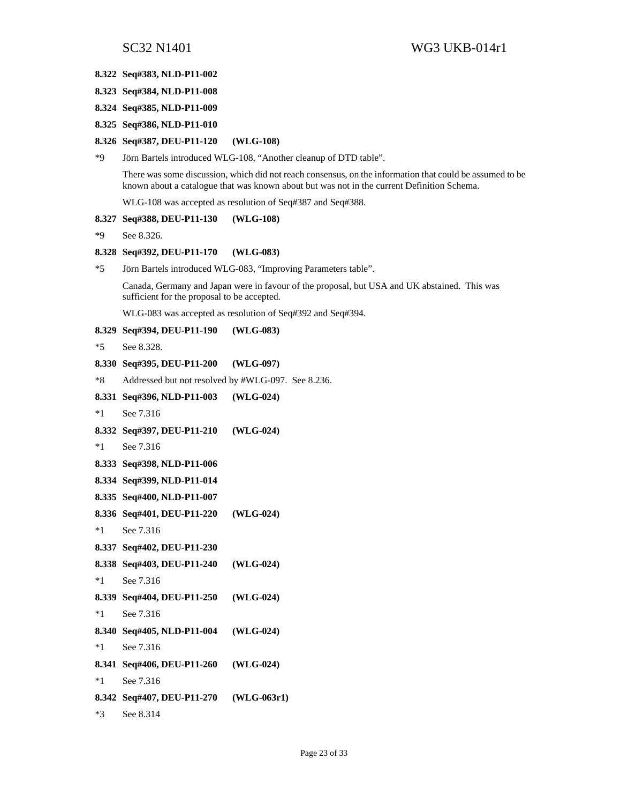#### **8.322 Seq#383, NLD-P11-002**

- **8.323 Seq#384, NLD-P11-008**
- **8.324 Seq#385, NLD-P11-009**
- **8.325 Seq#386, NLD-P11-010**

#### **8.326 Seq#387, DEU-P11-120 (WLG-108)**

\*9 Jörn Bartels introduced WLG-108, "Another cleanup of DTD table".

There was some discussion, which did not reach consensus, on the information that could be assumed to be known about a catalogue that was known about but was not in the current Definition Schema.

WLG-108 was accepted as resolution of Seq#387 and Seq#388.

#### **8.327 Seq#388, DEU-P11-130 (WLG-108)**

\*9 See 8.326.

#### **8.328 Seq#392, DEU-P11-170 (WLG-083)**

\*5 Jörn Bartels introduced WLG-083, "Improving Parameters table".

Canada, Germany and Japan were in favour of the proposal, but USA and UK abstained. This was sufficient for the proposal to be accepted.

WLG-083 was accepted as resolution of Seq#392 and Seq#394.

### **8.329 Seq#394, DEU-P11-190 (WLG-083)**

\*5 See 8.328.

#### **8.330 Seq#395, DEU-P11-200 (WLG-097)**

\*8 Addressed but not resolved by #WLG-097. See 8.236.

# **8.331 Seq#396, NLD-P11-003 (WLG-024)**  \*1 See 7.316 **8.332 Seq#397, DEU-P11-210 (WLG-024)**  \*1 See 7.316 **8.333 Seq#398, NLD-P11-006 8.334 Seq#399, NLD-P11-014 8.335 Seq#400, NLD-P11-007 8.336 Seq#401, DEU-P11-220 (WLG-024)**  \*1 See 7.316 **8.337 Seq#402, DEU-P11-230 8.338 Seq#403, DEU-P11-240 (WLG-024)**  \*1 See 7.316 **8.339 Seq#404, DEU-P11-250 (WLG-024)**  \*1 See 7.316 **8.340 Seq#405, NLD-P11-004 (WLG-024)**  \*1 See 7.316 **8.341 Seq#406, DEU-P11-260 (WLG-024)**  \*1 See 7.316 **8.342 Seq#407, DEU-P11-270 (WLG-063r1)**  \*3 See 8.314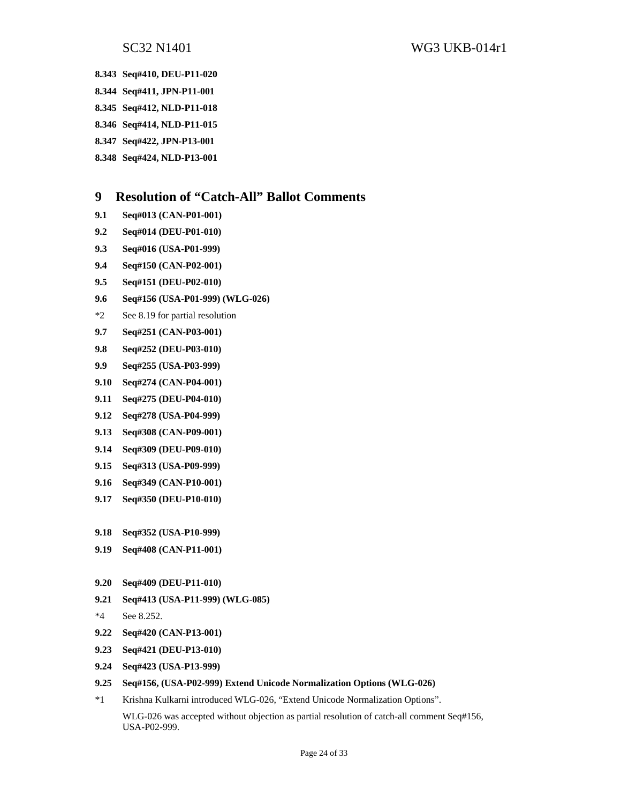**8.343 Seq#410, DEU-P11-020** 

- **8.344 Seq#411, JPN-P11-001**
- **8.345 Seq#412, NLD-P11-018**
- **8.346 Seq#414, NLD-P11-015**
- **8.347 Seq#422, JPN-P13-001**
- **8.348 Seq#424, NLD-P13-001**

## **9 Resolution of "Catch-All" Ballot Comments**

- **9.1 Seq#013 (CAN-P01-001)**
- **9.2 Seq#014 (DEU-P01-010)**
- **9.3 Seq#016 (USA-P01-999)**
- **9.4 Seq#150 (CAN-P02-001)**
- **9.5 Seq#151 (DEU-P02-010)**
- **9.6 Seq#156 (USA-P01-999) (WLG-026)**
- \*2 See 8.19 for partial resolution
- **9.7 Seq#251 (CAN-P03-001)**
- **9.8 Seq#252 (DEU-P03-010)**
- **9.9 Seq#255 (USA-P03-999)**
- **9.10 Seq#274 (CAN-P04-001)**
- **9.11 Seq#275 (DEU-P04-010)**
- **9.12 Seq#278 (USA-P04-999)**
- **9.13 Seq#308 (CAN-P09-001)**
- **9.14 Seq#309 (DEU-P09-010)**
- **9.15 Seq#313 (USA-P09-999)**
- **9.16 Seq#349 (CAN-P10-001)**
- **9.17 Seq#350 (DEU-P10-010)**
- **9.18 Seq#352 (USA-P10-999)**
- **9.19 Seq#408 (CAN-P11-001)**
- **9.20 Seq#409 (DEU-P11-010)**
- **9.21 Seq#413 (USA-P11-999) (WLG-085)**
- \*4 See 8.252.
- **9.22 Seq#420 (CAN-P13-001)**
- **9.23 Seq#421 (DEU-P13-010)**
- **9.24 Seq#423 (USA-P13-999)**
- **9.25 Seq#156, (USA-P02-999) Extend Unicode Normalization Options (WLG-026)**
- \*1 Krishna Kulkarni introduced WLG-026, "Extend Unicode Normalization Options".

WLG-026 was accepted without objection as partial resolution of catch-all comment Seq#156, USA-P02-999.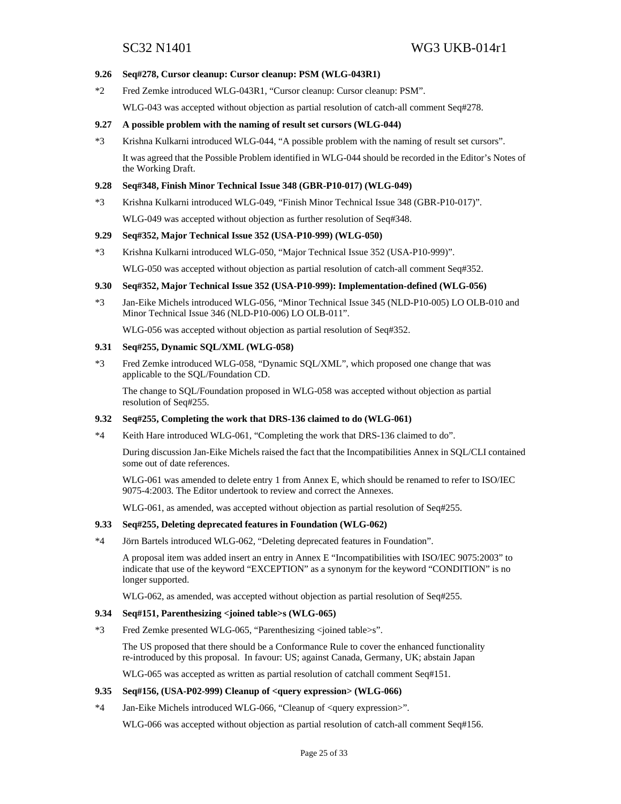#### **9.26 Seq#278, Cursor cleanup: Cursor cleanup: PSM (WLG-043R1)**

\*2 Fred Zemke introduced WLG-043R1, "Cursor cleanup: Cursor cleanup: PSM".

WLG-043 was accepted without objection as partial resolution of catch-all comment Seq#278.

### **9.27 A possible problem with the naming of result set cursors (WLG-044)**

\*3 Krishna Kulkarni introduced WLG-044, "A possible problem with the naming of result set cursors".

It was agreed that the Possible Problem identified in WLG-044 should be recorded in the Editor's Notes of the Working Draft.

#### **9.28 Seq#348, Finish Minor Technical Issue 348 (GBR-P10-017) (WLG-049)**

\*3 Krishna Kulkarni introduced WLG-049, "Finish Minor Technical Issue 348 (GBR-P10-017)".

WLG-049 was accepted without objection as further resolution of Seq#348.

#### **9.29 Seq#352, Major Technical Issue 352 (USA-P10-999) (WLG-050)**

\*3 Krishna Kulkarni introduced WLG-050, "Major Technical Issue 352 (USA-P10-999)".

WLG-050 was accepted without objection as partial resolution of catch-all comment Seq#352.

#### **9.30 Seq#352, Major Technical Issue 352 (USA-P10-999): Implementation-defined (WLG-056)**

\*3 Jan-Eike Michels introduced WLG-056, "Minor Technical Issue 345 (NLD-P10-005) LO OLB-010 and Minor Technical Issue 346 (NLD-P10-006) LO OLB-011".

WLG-056 was accepted without objection as partial resolution of Seq#352.

#### **9.31 Seq#255, Dynamic SQL/XML (WLG-058)**

\*3 Fred Zemke introduced WLG-058, "Dynamic SQL/XML", which proposed one change that was applicable to the SQL/Foundation CD.

The change to SQL/Foundation proposed in WLG-058 was accepted without objection as partial resolution of Seq#255.

#### **9.32 Seq#255, Completing the work that DRS-136 claimed to do (WLG-061)**

\*4 Keith Hare introduced WLG-061, "Completing the work that DRS-136 claimed to do".

During discussion Jan-Eike Michels raised the fact that the Incompatibilities Annex in SQL/CLI contained some out of date references.

WLG-061 was amended to delete entry 1 from Annex E, which should be renamed to refer to ISO/IEC 9075-4:2003. The Editor undertook to review and correct the Annexes.

WLG-061, as amended, was accepted without objection as partial resolution of Seq#255.

#### **9.33 Seq#255, Deleting deprecated features in Foundation (WLG-062)**

\*4 Jörn Bartels introduced WLG-062, "Deleting deprecated features in Foundation".

A proposal item was added insert an entry in Annex E "Incompatibilities with ISO/IEC 9075:2003" to indicate that use of the keyword "EXCEPTION" as a synonym for the keyword "CONDITION" is no longer supported.

WLG-062, as amended, was accepted without objection as partial resolution of Seq#255.

#### **9.34 Seq#151, Parenthesizing <joined table>s (WLG-065)**

\*3 Fred Zemke presented WLG-065, "Parenthesizing <joined table>s".

The US proposed that there should be a Conformance Rule to cover the enhanced functionality re-introduced by this proposal. In favour: US; against Canada, Germany, UK; abstain Japan

WLG-065 was accepted as written as partial resolution of catchall comment Seq#151.

#### **9.35 Seq#156, (USA-P02-999) Cleanup of <query expression> (WLG-066)**

\*4 Jan-Eike Michels introduced WLG-066, "Cleanup of <query expression>".

WLG-066 was accepted without objection as partial resolution of catch-all comment Seq#156.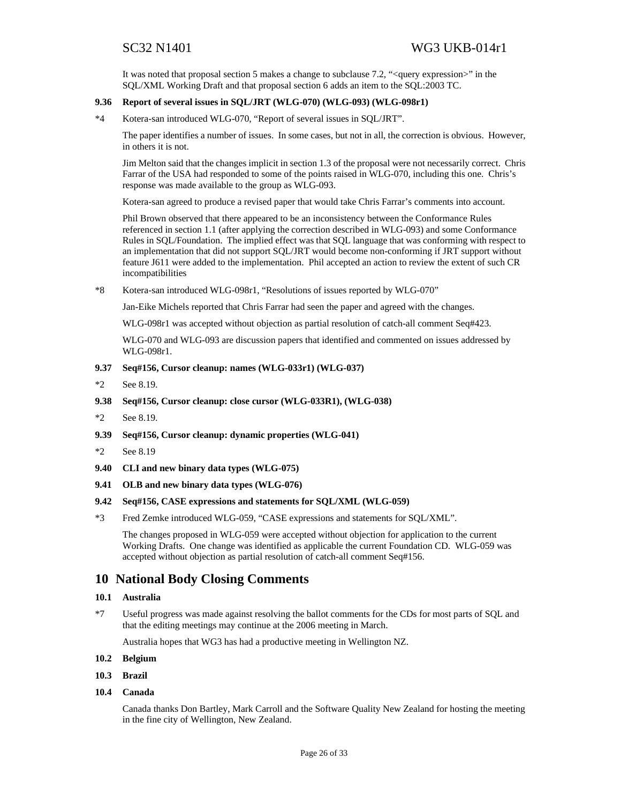It was noted that proposal section 5 makes a change to subclause 7.2, "<query expression>" in the SQL/XML Working Draft and that proposal section 6 adds an item to the SQL:2003 TC.

### **9.36 Report of several issues in SQL/JRT (WLG-070) (WLG-093) (WLG-098r1)**

\*4 Kotera-san introduced WLG-070, "Report of several issues in SQL/JRT".

The paper identifies a number of issues. In some cases, but not in all, the correction is obvious. However, in others it is not.

Jim Melton said that the changes implicit in section 1.3 of the proposal were not necessarily correct. Chris Farrar of the USA had responded to some of the points raised in WLG-070, including this one. Chris's response was made available to the group as WLG-093.

Kotera-san agreed to produce a revised paper that would take Chris Farrar's comments into account.

Phil Brown observed that there appeared to be an inconsistency between the Conformance Rules referenced in section 1.1 (after applying the correction described in WLG-093) and some Conformance Rules in SQL/Foundation. The implied effect was that SQL language that was conforming with respect to an implementation that did not support SQL/JRT would become non-conforming if JRT support without feature J611 were added to the implementation. Phil accepted an action to review the extent of such CR incompatibilities

\*8 Kotera-san introduced WLG-098r1, "Resolutions of issues reported by WLG-070"

Jan-Eike Michels reported that Chris Farrar had seen the paper and agreed with the changes.

WLG-098r1 was accepted without objection as partial resolution of catch-all comment Seq#423.

WLG-070 and WLG-093 are discussion papers that identified and commented on issues addressed by WLG-098r1.

- **9.37 Seq#156, Cursor cleanup: names (WLG-033r1) (WLG-037)**
- \*2 See 8.19.
- **9.38 Seq#156, Cursor cleanup: close cursor (WLG-033R1), (WLG-038)**
- \*2 See 8.19.
- **9.39 Seq#156, Cursor cleanup: dynamic properties (WLG-041)**
- \*2 See 8.19
- **9.40 CLI and new binary data types (WLG-075)**
- **9.41 OLB and new binary data types (WLG-076)**
- **9.42 Seq#156, CASE expressions and statements for SQL/XML (WLG-059)**
- \*3 Fred Zemke introduced WLG-059, "CASE expressions and statements for SQL/XML".

The changes proposed in WLG-059 were accepted without objection for application to the current Working Drafts. One change was identified as applicable the current Foundation CD. WLG-059 was accepted without objection as partial resolution of catch-all comment Seq#156.

## **10 National Body Closing Comments**

#### **10.1 Australia**

\*7 Useful progress was made against resolving the ballot comments for the CDs for most parts of SQL and that the editing meetings may continue at the 2006 meeting in March.

Australia hopes that WG3 has had a productive meeting in Wellington NZ.

- **10.2 Belgium**
- **10.3 Brazil**
- **10.4 Canada**

Canada thanks Don Bartley, Mark Carroll and the Software Quality New Zealand for hosting the meeting in the fine city of Wellington, New Zealand.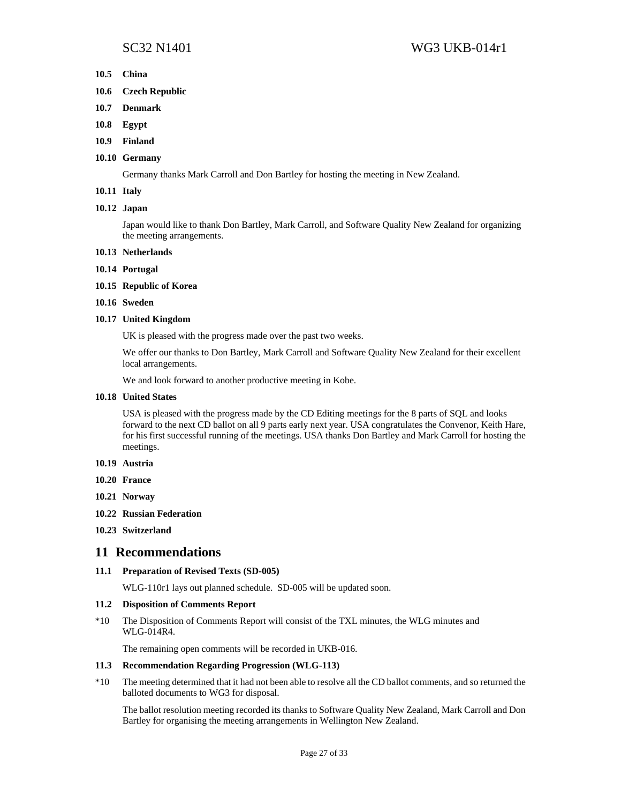- **10.5 China**
- **10.6 Czech Republic**
- **10.7 Denmark**
- **10.8 Egypt**
- **10.9 Finland**

#### **10.10 Germany**

Germany thanks Mark Carroll and Don Bartley for hosting the meeting in New Zealand.

### **10.11 Italy**

#### **10.12 Japan**

Japan would like to thank Don Bartley, Mark Carroll, and Software Quality New Zealand for organizing the meeting arrangements.

#### **10.13 Netherlands**

- **10.14 Portugal**
- **10.15 Republic of Korea**
- **10.16 Sweden**

#### **10.17 United Kingdom**

UK is pleased with the progress made over the past two weeks.

We offer our thanks to Don Bartley, Mark Carroll and Software Quality New Zealand for their excellent local arrangements.

We and look forward to another productive meeting in Kobe.

#### **10.18 United States**

USA is pleased with the progress made by the CD Editing meetings for the 8 parts of SQL and looks forward to the next CD ballot on all 9 parts early next year. USA congratulates the Convenor, Keith Hare, for his first successful running of the meetings. USA thanks Don Bartley and Mark Carroll for hosting the meetings.

- **10.19 Austria**
- **10.20 France**
- **10.21 Norway**
- **10.22 Russian Federation**
- **10.23 Switzerland**

### **11 Recommendations**

### **11.1 Preparation of Revised Texts (SD-005)**

WLG-110r1 lays out planned schedule. SD-005 will be updated soon.

### **11.2 Disposition of Comments Report**

\*10 The Disposition of Comments Report will consist of the TXL minutes, the WLG minutes and WLG-014R4.

The remaining open comments will be recorded in UKB-016.

#### **11.3 Recommendation Regarding Progression (WLG-113)**

\*10 The meeting determined that it had not been able to resolve all the CD ballot comments, and so returned the balloted documents to WG3 for disposal.

The ballot resolution meeting recorded its thanks to Software Quality New Zealand, Mark Carroll and Don Bartley for organising the meeting arrangements in Wellington New Zealand.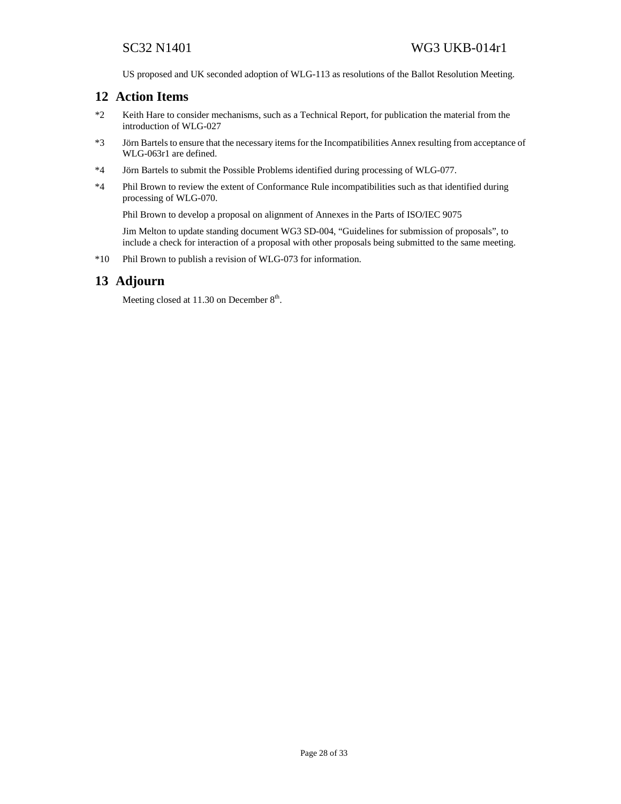US proposed and UK seconded adoption of WLG-113 as resolutions of the Ballot Resolution Meeting.

## **12 Action Items**

- \*2 Keith Hare to consider mechanisms, such as a Technical Report, for publication the material from the introduction of WLG-027
- \*3 Jörn Bartels to ensure that the necessary items for the Incompatibilities Annex resulting from acceptance of WLG-063r1 are defined.
- \*4 Jörn Bartels to submit the Possible Problems identified during processing of WLG-077.
- \*4 Phil Brown to review the extent of Conformance Rule incompatibilities such as that identified during processing of WLG-070.

Phil Brown to develop a proposal on alignment of Annexes in the Parts of ISO/IEC 9075

Jim Melton to update standing document WG3 SD-004, "Guidelines for submission of proposals", to include a check for interaction of a proposal with other proposals being submitted to the same meeting.

\*10 Phil Brown to publish a revision of WLG-073 for information.

## **13 Adjourn**

Meeting closed at  $11.30$  on December  $8<sup>th</sup>$ .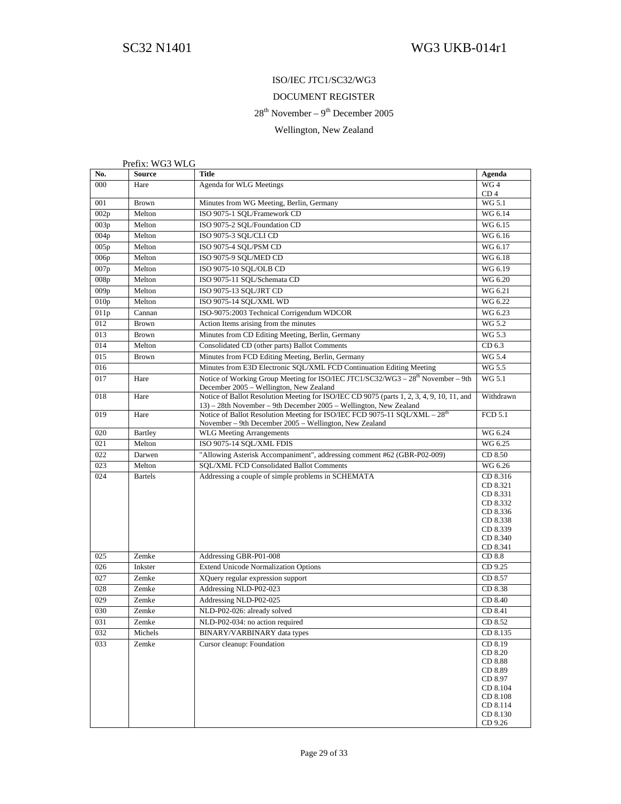## ISO/IEC JTC1/SC32/WG3

### DOCUMENT REGISTER

## $28<sup>th</sup>$  November –  $9<sup>th</sup>$  December 2005

## Wellington, New Zealand

Prefix: WG3 WLG

| No.  | <b>Source</b>  | Title                                                                                                                                                          | Agenda                                                                                                         |
|------|----------------|----------------------------------------------------------------------------------------------------------------------------------------------------------------|----------------------------------------------------------------------------------------------------------------|
| 000  | Hare           | Agenda for WLG Meetings                                                                                                                                        | WG4<br>CD <sub>4</sub>                                                                                         |
| 001  | <b>Brown</b>   | Minutes from WG Meeting, Berlin, Germany                                                                                                                       | WG 5.1                                                                                                         |
| 002p | Melton         | ISO 9075-1 SQL/Framework CD                                                                                                                                    | WG 6.14                                                                                                        |
| 003p | Melton         | ISO 9075-2 SQL/Foundation CD                                                                                                                                   | WG 6.15                                                                                                        |
| 004p | Melton         | ISO 9075-3 SQL/CLI CD                                                                                                                                          | WG 6.16                                                                                                        |
| 005p | Melton         | ISO 9075-4 SQL/PSM CD                                                                                                                                          | WG 6.17                                                                                                        |
| 006p | Melton         | ISO 9075-9 SQL/MED CD                                                                                                                                          | WG 6.18                                                                                                        |
| 007p | Melton         | ISO 9075-10 SQL/OLB CD                                                                                                                                         | WG 6.19                                                                                                        |
| 008p | Melton         | ISO 9075-11 SQL/Schemata CD                                                                                                                                    | WG 6.20                                                                                                        |
| 009p | Melton         | ISO 9075-13 SQL/JRT CD                                                                                                                                         | WG 6.21                                                                                                        |
| 010p | Melton         | ISO 9075-14 SQL/XML WD                                                                                                                                         | WG 6.22                                                                                                        |
| 011p | Cannan         | ISO-9075:2003 Technical Corrigendum WDCOR                                                                                                                      | WG 6.23                                                                                                        |
| 012  | <b>Brown</b>   | Action Items arising from the minutes                                                                                                                          | WG 5.2                                                                                                         |
| 013  | <b>Brown</b>   | Minutes from CD Editing Meeting, Berlin, Germany                                                                                                               | WG 5.3                                                                                                         |
| 014  | Melton         | Consolidated CD (other parts) Ballot Comments                                                                                                                  | CD 6.3                                                                                                         |
| 015  | <b>Brown</b>   | Minutes from FCD Editing Meeting, Berlin, Germany                                                                                                              | WG 5.4                                                                                                         |
| 016  |                | Minutes from E3D Electronic SQL/XML FCD Continuation Editing Meeting                                                                                           | WG 5.5                                                                                                         |
| 017  | Hare           | Notice of Working Group Meeting for ISO/IEC JTC1/SC32/WG3 - 28 <sup>th</sup> November - 9th<br>December 2005 – Wellington, New Zealand                         | WG 5.1                                                                                                         |
| 018  | Hare           | Notice of Ballot Resolution Meeting for ISO/IEC CD 9075 (parts 1, 2, 3, 4, 9, 10, 11, and<br>13) – 28th November – 9th December 2005 – Wellington, New Zealand | Withdrawn                                                                                                      |
| 019  | Hare           | Notice of Ballot Resolution Meeting for ISO/IEC FCD 9075-11 SQL/XML $-28th$<br>November – 9th December 2005 – Wellington, New Zealand                          | <b>FCD 5.1</b>                                                                                                 |
| 020  | <b>Bartley</b> | <b>WLG Meeting Arrangements</b>                                                                                                                                | WG 6.24                                                                                                        |
| 021  | Melton         | ISO 9075-14 SQL/XML FDIS                                                                                                                                       | WG 6.25                                                                                                        |
| 022  | Darwen         | "Allowing Asterisk Accompaniment", addressing comment #62 (GBR-P02-009)                                                                                        | CD 8.50                                                                                                        |
| 023  | Melton         | SQL/XML FCD Consolidated Ballot Comments                                                                                                                       | WG 6.26                                                                                                        |
| 024  | <b>Bartels</b> | Addressing a couple of simple problems in SCHEMATA                                                                                                             | CD 8.316<br>CD 8.321<br>CD 8.331<br>CD 8.332<br>CD 8.336<br>CD 8.338<br>CD 8.339<br>CD 8.340<br>CD 8.341       |
| 025  | Zemke          | Addressing GBR-P01-008                                                                                                                                         | CD 8.8                                                                                                         |
| 026  | Inkster        | <b>Extend Unicode Normalization Options</b>                                                                                                                    | CD 9.25                                                                                                        |
| 027  | Zemke          | XQuery regular expression support                                                                                                                              | CD 8.57                                                                                                        |
| 028  | Zemke          | Addressing NLD-P02-023                                                                                                                                         | CD 8.38                                                                                                        |
| 029  | Zemke          | Addressing NLD-P02-025                                                                                                                                         | CD 8.40                                                                                                        |
| 030  | Zemke          | NLD-P02-026: already solved                                                                                                                                    | CD 8.41                                                                                                        |
| 031  | Zemke          | NLD-P02-034: no action required                                                                                                                                | CD 8.52                                                                                                        |
| 032  | Michels        | BINARY/VARBINARY data types                                                                                                                                    | CD 8.135                                                                                                       |
| 033  | Zemke          | Cursor cleanup: Foundation                                                                                                                                     | CD 8.19<br>CD 8.20<br>CD 8.88<br>CD 8.89<br>CD 8.97<br>CD 8.104<br>CD 8.108<br>CD 8.114<br>CD 8.130<br>CD 9.26 |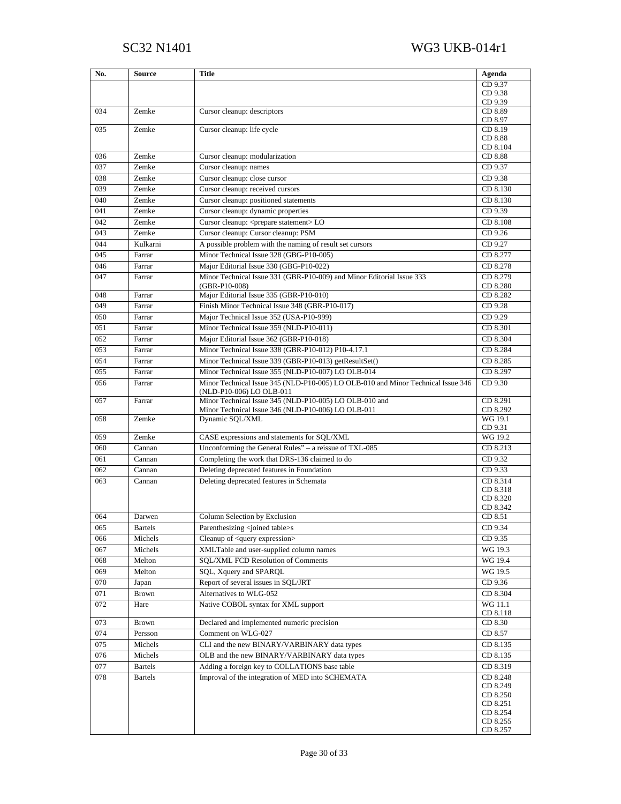| No. | <b>Source</b>  | <b>Title</b>                                                                                                 | Agenda               |
|-----|----------------|--------------------------------------------------------------------------------------------------------------|----------------------|
|     |                |                                                                                                              | CD 9.37              |
|     |                |                                                                                                              | CD 9.38              |
|     |                |                                                                                                              | CD 9.39              |
| 034 | Zemke          | Cursor cleanup: descriptors                                                                                  | CD 8.89<br>CD 8.97   |
| 035 | Zemke          | Cursor cleanup: life cycle                                                                                   | CD 8.19              |
|     |                |                                                                                                              | CD 8.88              |
|     |                |                                                                                                              | CD 8.104             |
| 036 | Zemke          | Cursor cleanup: modularization                                                                               | CD 8.88              |
| 037 | Zemke          | Cursor cleanup: names                                                                                        | CD 9.37              |
| 038 | Zemke          | Cursor cleanup: close cursor                                                                                 | CD 9.38              |
| 039 | Zemke          | Cursor cleanup: received cursors                                                                             | CD 8.130             |
| 040 | Zemke          | Cursor cleanup: positioned statements                                                                        | CD 8.130             |
| 041 | Zemke          | Cursor cleanup: dynamic properties                                                                           | CD 9.39              |
| 042 | Zemke          | Cursor cleanup: <prepare statement="">LO</prepare>                                                           | CD 8.108             |
| 043 | Zemke          | Cursor cleanup: Cursor cleanup: PSM                                                                          | CD 9.26              |
| 044 | Kulkarni       | A possible problem with the naming of result set cursors                                                     | CD 9.27              |
| 045 | Farrar         | Minor Technical Issue 328 (GBG-P10-005)                                                                      | CD 8.277             |
| 046 | Farrar         | Major Editorial Issue 330 (GBG-P10-022)                                                                      | CD 8.278             |
| 047 | Farrar         | Minor Technical Issue 331 (GBR-P10-009) and Minor Editorial Issue 333                                        | CD 8.279             |
|     |                | $(GBR-P10-008)$                                                                                              | CD 8.280             |
| 048 | Farrar         | Major Editorial Issue 335 (GBR-P10-010)                                                                      | CD 8.282             |
| 049 | Farrar         | Finish Minor Technical Issue 348 (GBR-P10-017)                                                               | CD 9.28              |
| 050 | Farrar         | Major Technical Issue 352 (USA-P10-999)                                                                      | CD 9.29              |
| 051 | Farrar         | Minor Technical Issue 359 (NLD-P10-011)                                                                      | CD 8.301             |
| 052 | Farrar         | Major Editorial Issue 362 (GBR-P10-018)                                                                      | CD 8.304             |
| 053 | Farrar         | Minor Technical Issue 338 (GBR-P10-012) P10-4.17.1                                                           | CD 8.284             |
| 054 | Farrar         | Minor Technical Issue 339 (GBR-P10-013) getResultSet()                                                       | CD 8.285             |
| 055 | Farrar         | Minor Technical Issue 355 (NLD-P10-007) LO OLB-014                                                           | CD 8.297             |
| 056 | Farrar         | Minor Technical Issue 345 (NLD-P10-005) LO OLB-010 and Minor Technical Issue 346<br>(NLD-P10-006) LO OLB-011 | CD 9.30              |
| 057 | Farrar         | Minor Technical Issue 345 (NLD-P10-005) LO OLB-010 and                                                       | CD 8.291             |
|     |                | Minor Technical Issue 346 (NLD-P10-006) LO OLB-011                                                           | CD 8.292             |
| 058 | Zemke          | Dynamic SQL/XML                                                                                              | WG 19.1              |
| 059 | Zemke          | CASE expressions and statements for SQL/XML                                                                  | CD 9.31<br>WG 19.2   |
| 060 | Cannan         | Unconforming the General Rules" - a reissue of TXL-085                                                       | CD 8.213             |
| 061 | Cannan         | Completing the work that DRS-136 claimed to do                                                               | CD 9.32              |
| 062 | Cannan         | Deleting deprecated features in Foundation                                                                   | CD 9.33              |
| 063 | Cannan         | Deleting deprecated features in Schemata                                                                     | CD 8.314             |
|     |                |                                                                                                              | CD 8.318             |
|     |                |                                                                                                              | CD 8.320             |
|     |                |                                                                                                              | CD 8.342             |
| 064 | Darwen         | Column Selection by Exclusion                                                                                | CD 8.51              |
| 065 | <b>Bartels</b> | Parenthesizing <joined table="">s</joined>                                                                   | CD 9.34              |
| 066 | Michels        | Cleanup of <query expression=""></query>                                                                     | CD 9.35              |
| 067 | Michels        | XMLTable and user-supplied column names                                                                      | WG 19.3              |
| 068 | Melton         | SQL/XML FCD Resolution of Comments                                                                           | WG 19.4              |
| 069 | Melton         | SQL, Xquery and SPARQL                                                                                       | WG 19.5              |
| 070 | Japan          | Report of several issues in SQL/JRT                                                                          | CD 9.36              |
| 071 | <b>Brown</b>   | Alternatives to WLG-052                                                                                      | CD 8.304             |
| 072 | Hare           | Native COBOL syntax for XML support                                                                          | WG 11.1<br>CD 8.118  |
| 073 | Brown          | Declared and implemented numeric precision                                                                   | CD 8.30              |
| 074 | Persson        | Comment on WLG-027                                                                                           | CD 8.57              |
| 075 | Michels        | CLI and the new BINARY/VARBINARY data types                                                                  | CD 8.135             |
| 076 | Michels        | OLB and the new BINARY/VARBINARY data types                                                                  | CD 8.135             |
| 077 | <b>Bartels</b> | Adding a foreign key to COLLATIONS base table                                                                | CD 8.319             |
| 078 | <b>Bartels</b> | Improval of the integration of MED into SCHEMATA                                                             | CD 8.248             |
|     |                |                                                                                                              | CD 8.249             |
|     |                |                                                                                                              | CD 8.250             |
|     |                |                                                                                                              | CD 8.251<br>CD 8.254 |
|     |                |                                                                                                              | CD 8.255             |
|     |                |                                                                                                              | CD 8.257             |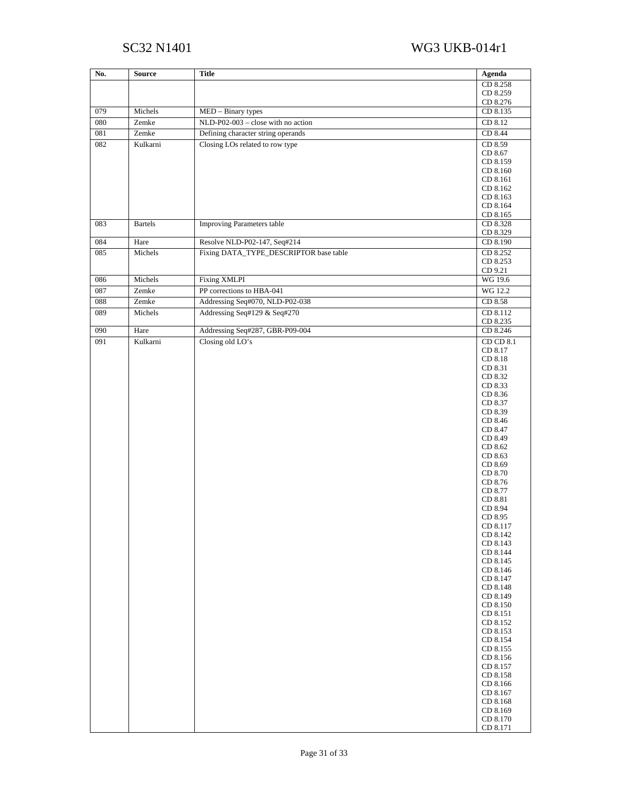# SC32 N1401 WG3 UKB-014r1

| No. | <b>Source</b>  | <b>Title</b>                           | Agenda               |
|-----|----------------|----------------------------------------|----------------------|
|     |                |                                        | CD 8.258             |
|     |                |                                        | CD 8.259             |
| 079 | Michels        | MED - Binary types                     | CD 8.276<br>CD 8.135 |
| 080 | Zemke          | NLD-P02-003 - close with no action     | CD 8.12              |
| 081 | Zemke          | Defining character string operands     | CD 8.44              |
| 082 | Kulkarni       | Closing LOs related to row type        | CD 8.59              |
|     |                |                                        | CD 8.67              |
|     |                |                                        | CD 8.159             |
|     |                |                                        | CD 8.160             |
|     |                |                                        | CD 8.161<br>CD 8.162 |
|     |                |                                        | CD 8.163             |
|     |                |                                        | CD 8.164             |
|     |                |                                        | CD 8.165             |
| 083 | <b>Bartels</b> | <b>Improving Parameters table</b>      | CD 8.328<br>CD 8.329 |
| 084 | Hare           | Resolve NLD-P02-147, Seq#214           | CD 8.190             |
| 085 | Michels        | Fixing DATA_TYPE_DESCRIPTOR base table | CD 8.252             |
|     |                |                                        | CD 8.253             |
| 086 | Michels        | <b>Fixing XMLPI</b>                    | CD 9.21<br>WG 19.6   |
| 087 | Zemke          | PP corrections to HBA-041              | WG 12.2              |
| 088 | Zemke          | Addressing Seq#070, NLD-P02-038        | CD 8.58              |
| 089 | Michels        | Addressing Seq#129 & Seq#270           | CD 8.112             |
|     |                |                                        | CD 8.235             |
| 090 | Hare           | Addressing Seq#287, GBR-P09-004        | CD 8.246             |
| 091 | Kulkarni       | Closing old LO's                       | CD CD 8.1            |
|     |                |                                        | CD 8.17<br>CD 8.18   |
|     |                |                                        | CD 8.31              |
|     |                |                                        | CD 8.32              |
|     |                |                                        | CD 8.33              |
|     |                |                                        | CD 8.36<br>CD 8.37   |
|     |                |                                        | CD 8.39              |
|     |                |                                        | CD 8.46              |
|     |                |                                        | CD 8.47              |
|     |                |                                        | CD 8.49<br>CD 8.62   |
|     |                |                                        | CD 8.63              |
|     |                |                                        | CD 8.69              |
|     |                |                                        | CD 8.70              |
|     |                |                                        | CD 8.76              |
|     |                |                                        | CD 8.77<br>CD 8.81   |
|     |                |                                        | CD 8.94              |
|     |                |                                        | CD 8.95              |
|     |                |                                        | CD 8.117             |
|     |                |                                        | CD 8.142<br>CD 8.143 |
|     |                |                                        | CD 8.144             |
|     |                |                                        | CD 8.145             |
|     |                |                                        | CD 8.146             |
|     |                |                                        | CD 8.147<br>CD 8.148 |
|     |                |                                        | CD 8.149             |
|     |                |                                        | CD 8.150             |
|     |                |                                        | CD 8.151             |
|     |                |                                        | CD 8.152<br>CD 8.153 |
|     |                |                                        | CD 8.154             |
|     |                |                                        | CD 8.155             |
|     |                |                                        | CD 8.156             |
|     |                |                                        | CD 8.157<br>CD 8.158 |
|     |                |                                        | CD 8.166             |
|     |                |                                        | CD 8.167             |
|     |                |                                        | CD 8.168             |
|     |                |                                        | CD 8.169<br>CD 8.170 |
|     |                |                                        | CD 8.171             |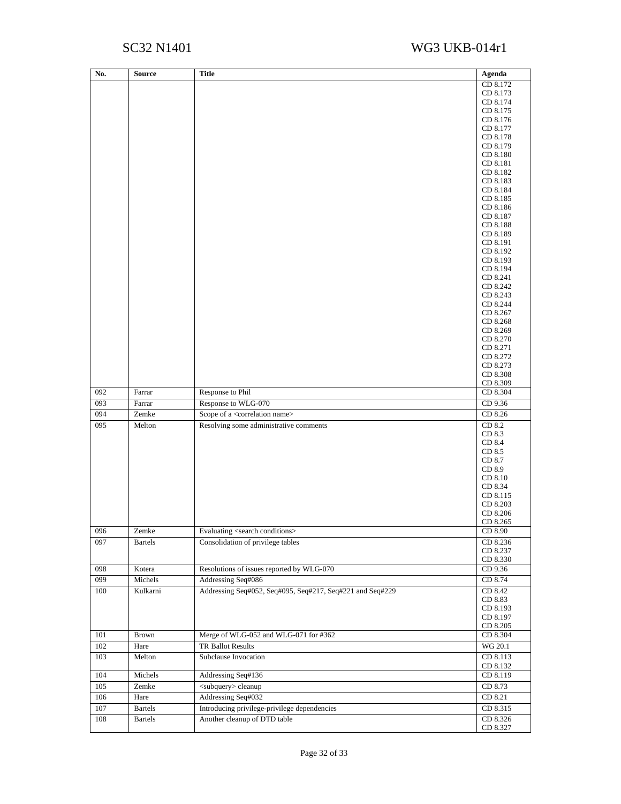# SC32 N1401 WG3 UKB-014r1

| No. | Source         | <b>Title</b>                                              | Agenda               |
|-----|----------------|-----------------------------------------------------------|----------------------|
|     |                |                                                           | CD 8.172             |
|     |                |                                                           | CD 8.173             |
|     |                |                                                           | CD 8.174             |
|     |                |                                                           | CD 8.175             |
|     |                |                                                           | CD 8.176             |
|     |                |                                                           | CD 8.177<br>CD 8.178 |
|     |                |                                                           | CD 8.179             |
|     |                |                                                           | CD 8.180             |
|     |                |                                                           | CD 8.181             |
|     |                |                                                           | CD 8.182             |
|     |                |                                                           | CD 8.183             |
|     |                |                                                           | CD 8.184<br>CD 8.185 |
|     |                |                                                           | CD 8.186             |
|     |                |                                                           | CD 8.187             |
|     |                |                                                           | CD 8.188             |
|     |                |                                                           | CD 8.189             |
|     |                |                                                           | CD 8.191             |
|     |                |                                                           | CD 8.192             |
|     |                |                                                           | CD 8.193<br>CD 8.194 |
|     |                |                                                           | CD 8.241             |
|     |                |                                                           | CD 8.242             |
|     |                |                                                           | CD 8.243             |
|     |                |                                                           | CD 8.244             |
|     |                |                                                           | CD 8.267             |
|     |                |                                                           | CD 8.268             |
|     |                |                                                           | CD 8.269             |
|     |                |                                                           | CD 8.270<br>CD 8.271 |
|     |                |                                                           | CD 8.272             |
|     |                |                                                           | CD 8.273             |
|     |                |                                                           | CD 8.308             |
|     |                |                                                           | CD 8.309             |
| 092 | Farrar         | Response to Phil                                          | CD 8.304             |
| 093 | Farrar         | Response to WLG-070                                       | CD 9.36              |
| 094 | Zemke          | Scope of a <correlation name=""></correlation>            | CD 8.26              |
| 095 | Melton         | Resolving some administrative comments                    | CD 8.2               |
|     |                |                                                           | CD 8.3<br>CD 8.4     |
|     |                |                                                           | CD 8.5               |
|     |                |                                                           | CD 8.7               |
|     |                |                                                           | CD 8.9               |
|     |                |                                                           | CD 8.10              |
|     |                |                                                           | CD 8.34              |
|     |                |                                                           | CD 8.115             |
|     |                |                                                           | CD 8.203<br>CD 8.206 |
|     |                |                                                           | CD 8.265             |
| 096 | Zemke          | Evaluating <search conditions=""></search>                | CD 8.90              |
| 097 | <b>Bartels</b> | Consolidation of privilege tables                         | CD 8.236             |
|     |                |                                                           | CD 8.237             |
|     |                |                                                           | CD 8.330             |
| 098 | Kotera         | Resolutions of issues reported by WLG-070                 | CD 9.36              |
| 099 | Michels        | Addressing Seq#086                                        | CD 8.74              |
| 100 | Kulkarni       | Addressing Seq#052, Seq#095, Seq#217, Seq#221 and Seq#229 | CD 8.42              |
|     |                |                                                           | CD 8.83              |
|     |                |                                                           | CD 8.193             |
|     |                |                                                           | CD 8.197<br>CD 8.205 |
| 101 | <b>Brown</b>   | Merge of WLG-052 and WLG-071 for #362                     | CD 8.304             |
| 102 | Hare           | <b>TR Ballot Results</b>                                  | WG 20.1              |
| 103 | Melton         | Subclause Invocation                                      | CD 8.113             |
|     |                |                                                           | CD 8.132             |
| 104 | Michels        | Addressing Seq#136                                        | CD 8.119             |
| 105 | Zemke          | <subquery> cleanup</subquery>                             | CD 8.73              |
| 106 | Hare           | Addressing Seq#032                                        | CD 8.21              |
| 107 | <b>Bartels</b> | Introducing privilege-privilege dependencies              | CD 8.315             |
| 108 | <b>Bartels</b> | Another cleanup of DTD table                              | CD 8.326             |
|     |                |                                                           | CD 8.327             |